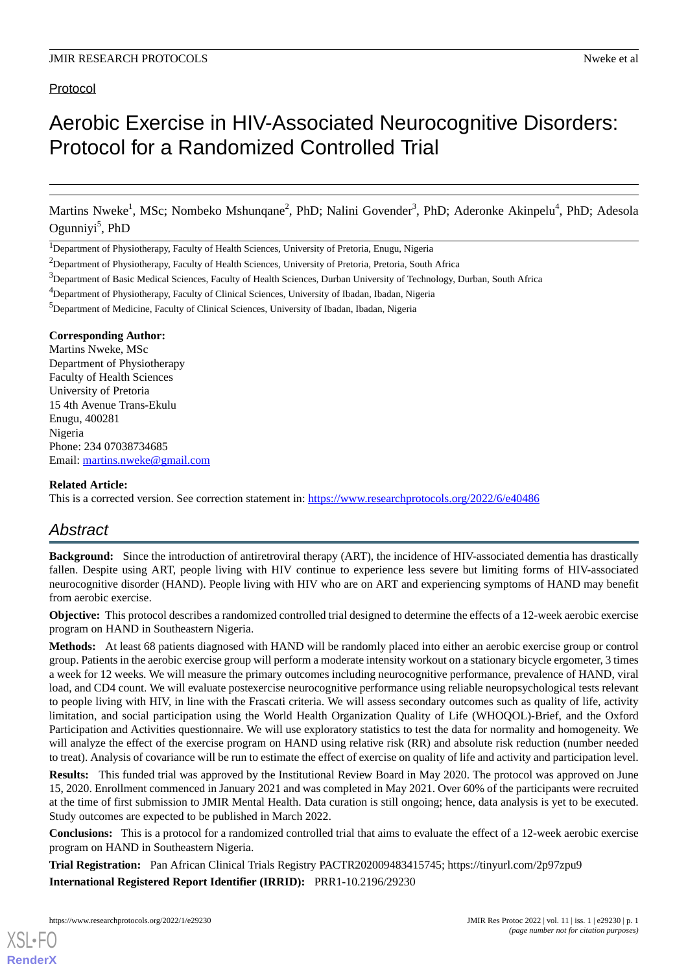# Protocol

# Aerobic Exercise in HIV-Associated Neurocognitive Disorders: Protocol for a Randomized Controlled Trial

Martins Nweke<sup>1</sup>, MSc; Nombeko Mshunqane<sup>2</sup>, PhD; Nalini Govender<sup>3</sup>, PhD; Aderonke Akinpelu<sup>4</sup>, PhD; Adesola Ogunniyi<sup>5</sup>, PhD

<sup>1</sup>Department of Physiotherapy, Faculty of Health Sciences, University of Pretoria, Enugu, Nigeria

<sup>4</sup>Department of Physiotherapy, Faculty of Clinical Sciences, University of Ibadan, Ibadan, Nigeria

<sup>5</sup>Department of Medicine, Faculty of Clinical Sciences, University of Ibadan, Ibadan, Nigeria

#### **Corresponding Author:**

Martins Nweke, MSc Department of Physiotherapy Faculty of Health Sciences University of Pretoria 15 4th Avenue Trans-Ekulu Enugu, 400281 Nigeria Phone: 234 07038734685 Email: [martins.nweke@gmail.com](mailto:martins.nweke@gmail.com)

## **Related Article:**

This is a corrected version. See correction statement in: <https://www.researchprotocols.org/2022/6/e40486>

# *Abstract*

**Background:** Since the introduction of antiretroviral therapy (ART), the incidence of HIV-associated dementia has drastically fallen. Despite using ART, people living with HIV continue to experience less severe but limiting forms of HIV-associated neurocognitive disorder (HAND). People living with HIV who are on ART and experiencing symptoms of HAND may benefit from aerobic exercise.

**Objective:** This protocol describes a randomized controlled trial designed to determine the effects of a 12-week aerobic exercise program on HAND in Southeastern Nigeria.

**Methods:** At least 68 patients diagnosed with HAND will be randomly placed into either an aerobic exercise group or control group. Patients in the aerobic exercise group will perform a moderate intensity workout on a stationary bicycle ergometer, 3 times a week for 12 weeks. We will measure the primary outcomes including neurocognitive performance, prevalence of HAND, viral load, and CD4 count. We will evaluate postexercise neurocognitive performance using reliable neuropsychological tests relevant to people living with HIV, in line with the Frascati criteria. We will assess secondary outcomes such as quality of life, activity limitation, and social participation using the World Health Organization Quality of Life (WHOQOL)-Brief, and the Oxford Participation and Activities questionnaire. We will use exploratory statistics to test the data for normality and homogeneity. We will analyze the effect of the exercise program on HAND using relative risk (RR) and absolute risk reduction (number needed to treat). Analysis of covariance will be run to estimate the effect of exercise on quality of life and activity and participation level.

**Results:** This funded trial was approved by the Institutional Review Board in May 2020. The protocol was approved on June 15, 2020. Enrollment commenced in January 2021 and was completed in May 2021. Over 60% of the participants were recruited at the time of first submission to JMIR Mental Health. Data curation is still ongoing; hence, data analysis is yet to be executed. Study outcomes are expected to be published in March 2022.

**Conclusions:** This is a protocol for a randomized controlled trial that aims to evaluate the effect of a 12-week aerobic exercise program on HAND in Southeastern Nigeria.

**Trial Registration:** Pan African Clinical Trials Registry PACTR202009483415745; https://tinyurl.com/2p97zpu9 **International Registered Report Identifier (IRRID):** PRR1-10.2196/29230

<sup>&</sup>lt;sup>2</sup>Department of Physiotherapy, Faculty of Health Sciences, University of Pretoria, Pretoria, South Africa

 $3$ Department of Basic Medical Sciences, Faculty of Health Sciences, Durban University of Technology, Durban, South Africa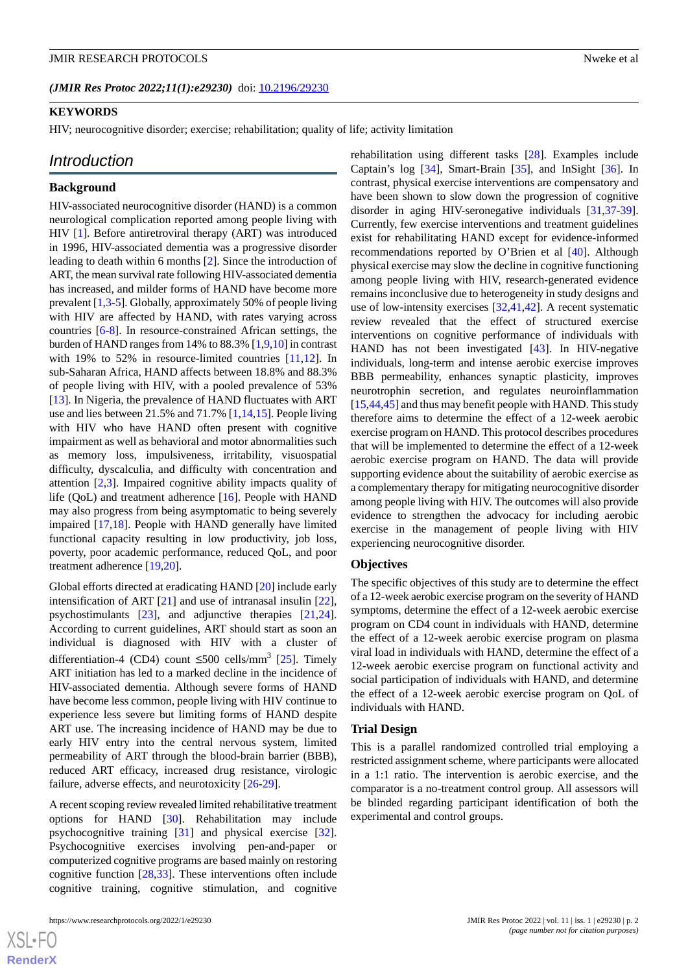(JMIR Res Protoc 2022;11(1):e29230) doi: [10.2196/29230](http://dx.doi.org/10.2196/29230)

HIV; neurocognitive disorder; exercise; rehabilitation; quality of life; activity limitation

# *Introduction*

#### **Background**

HIV-associated neurocognitive disorder (HAND) is a common neurological complication reported among people living with HIV [\[1](#page-9-0)]. Before antiretroviral therapy (ART) was introduced in 1996, HIV-associated dementia was a progressive disorder leading to death within 6 months [\[2](#page-9-1)]. Since the introduction of ART, the mean survival rate following HIV-associated dementia has increased, and milder forms of HAND have become more prevalent [\[1](#page-9-0),[3](#page-9-2)-[5\]](#page-9-3). Globally, approximately 50% of people living with HIV are affected by HAND, with rates varying across countries [\[6](#page-9-4)-[8\]](#page-9-5). In resource-constrained African settings, the burden of HAND ranges from 14% to 88.3% [\[1](#page-9-0)[,9](#page-9-6),[10\]](#page-9-7) in contrast with 19% to 52% in resource-limited countries [\[11](#page-9-8),[12\]](#page-9-9). In sub-Saharan Africa, HAND affects between 18.8% and 88.3% of people living with HIV, with a pooled prevalence of 53% [[13\]](#page-9-10). In Nigeria, the prevalence of HAND fluctuates with ART use and lies between 21.5% and 71.7% [\[1](#page-9-0),[14](#page-9-11)[,15](#page-9-12)]. People living with HIV who have HAND often present with cognitive impairment as well as behavioral and motor abnormalities such as memory loss, impulsiveness, irritability, visuospatial difficulty, dyscalculia, and difficulty with concentration and attention [[2,](#page-9-1)[3](#page-9-2)]. Impaired cognitive ability impacts quality of life (QoL) and treatment adherence [\[16](#page-9-13)]. People with HAND may also progress from being asymptomatic to being severely impaired [[17](#page-9-14)[,18](#page-9-15)]. People with HAND generally have limited functional capacity resulting in low productivity, job loss, poverty, poor academic performance, reduced QoL, and poor treatment adherence [\[19](#page-9-16),[20\]](#page-9-17).

Global efforts directed at eradicating HAND [[20\]](#page-9-17) include early intensification of ART [\[21](#page-10-0)] and use of intranasal insulin [[22\]](#page-10-1), psychostimulants [[23\]](#page-10-2), and adjunctive therapies [\[21](#page-10-0),[24\]](#page-10-3). According to current guidelines, ART should start as soon an individual is diagnosed with HIV with a cluster of differentiation-4 (CD4) count  $\leq 500$  cells/mm<sup>3</sup> [[25\]](#page-10-4). Timely ART initiation has led to a marked decline in the incidence of HIV-associated dementia. Although severe forms of HAND have become less common, people living with HIV continue to experience less severe but limiting forms of HAND despite ART use. The increasing incidence of HAND may be due to early HIV entry into the central nervous system, limited permeability of ART through the blood-brain barrier (BBB), reduced ART efficacy, increased drug resistance, virologic failure, adverse effects, and neurotoxicity [[26](#page-10-5)[-29](#page-10-6)].

A recent scoping review revealed limited rehabilitative treatment options for HAND [\[30](#page-10-7)]. Rehabilitation may include psychocognitive training [\[31](#page-10-8)] and physical exercise [[32\]](#page-10-9). Psychocognitive exercises involving pen-and-paper or computerized cognitive programs are based mainly on restoring cognitive function [\[28](#page-10-10),[33\]](#page-10-11). These interventions often include cognitive training, cognitive stimulation, and cognitive

rehabilitation using different tasks [\[28](#page-10-10)]. Examples include Captain's log [\[34](#page-10-12)], Smart-Brain [[35\]](#page-10-13), and InSight [[36\]](#page-10-14). In contrast, physical exercise interventions are compensatory and have been shown to slow down the progression of cognitive disorder in aging HIV-seronegative individuals [\[31](#page-10-8),[37-](#page-10-15)[39\]](#page-10-16). Currently, few exercise interventions and treatment guidelines exist for rehabilitating HAND except for evidence-informed recommendations reported by O'Brien et al [[40\]](#page-10-17). Although physical exercise may slow the decline in cognitive functioning among people living with HIV, research-generated evidence remains inconclusive due to heterogeneity in study designs and use of low-intensity exercises [\[32](#page-10-9),[41,](#page-10-18)[42](#page-11-0)]. A recent systematic review revealed that the effect of structured exercise interventions on cognitive performance of individuals with HAND has not been investigated [[43\]](#page-11-1). In HIV-negative individuals, long-term and intense aerobic exercise improves BBB permeability, enhances synaptic plasticity, improves neurotrophin secretion, and regulates neuroinflammation [[15,](#page-9-12)[44,](#page-11-2)[45\]](#page-11-3) and thus may benefit people with HAND. This study therefore aims to determine the effect of a 12-week aerobic exercise program on HAND. This protocol describes procedures that will be implemented to determine the effect of a 12-week aerobic exercise program on HAND. The data will provide supporting evidence about the suitability of aerobic exercise as a complementary therapy for mitigating neurocognitive disorder among people living with HIV. The outcomes will also provide evidence to strengthen the advocacy for including aerobic exercise in the management of people living with HIV experiencing neurocognitive disorder.

## **Objectives**

The specific objectives of this study are to determine the effect of a 12-week aerobic exercise program on the severity of HAND symptoms, determine the effect of a 12-week aerobic exercise program on CD4 count in individuals with HAND, determine the effect of a 12-week aerobic exercise program on plasma viral load in individuals with HAND, determine the effect of a 12-week aerobic exercise program on functional activity and social participation of individuals with HAND, and determine the effect of a 12-week aerobic exercise program on QoL of individuals with HAND.

#### **Trial Design**

This is a parallel randomized controlled trial employing a restricted assignment scheme, where participants were allocated in a 1:1 ratio. The intervention is aerobic exercise, and the comparator is a no-treatment control group. All assessors will be blinded regarding participant identification of both the experimental and control groups.

 $XS$  • FO **[RenderX](http://www.renderx.com/)**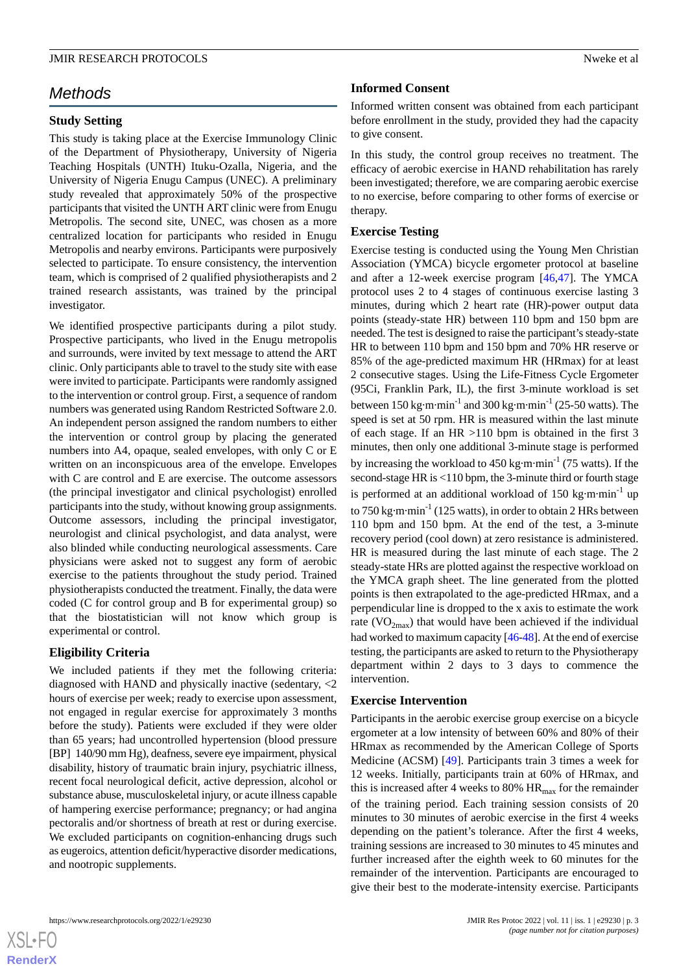# *Methods*

# **Study Setting**

This study is taking place at the Exercise Immunology Clinic of the Department of Physiotherapy, University of Nigeria Teaching Hospitals (UNTH) Ituku-Ozalla, Nigeria, and the University of Nigeria Enugu Campus (UNEC). A preliminary study revealed that approximately 50% of the prospective participants that visited the UNTH ART clinic were from Enugu Metropolis. The second site, UNEC, was chosen as a more centralized location for participants who resided in Enugu Metropolis and nearby environs. Participants were purposively selected to participate. To ensure consistency, the intervention team, which is comprised of 2 qualified physiotherapists and 2 trained research assistants, was trained by the principal investigator.

We identified prospective participants during a pilot study. Prospective participants, who lived in the Enugu metropolis and surrounds, were invited by text message to attend the ART clinic. Only participants able to travel to the study site with ease were invited to participate. Participants were randomly assigned to the intervention or control group. First, a sequence of random numbers was generated using Random Restricted Software 2.0. An independent person assigned the random numbers to either the intervention or control group by placing the generated numbers into A4, opaque, sealed envelopes, with only C or E written on an inconspicuous area of the envelope. Envelopes with C are control and E are exercise. The outcome assessors (the principal investigator and clinical psychologist) enrolled participants into the study, without knowing group assignments. Outcome assessors, including the principal investigator, neurologist and clinical psychologist, and data analyst, were also blinded while conducting neurological assessments. Care physicians were asked not to suggest any form of aerobic exercise to the patients throughout the study period. Trained physiotherapists conducted the treatment. Finally, the data were coded (C for control group and B for experimental group) so that the biostatistician will not know which group is experimental or control.

# **Eligibility Criteria**

We included patients if they met the following criteria: diagnosed with HAND and physically inactive (sedentary, <2 hours of exercise per week; ready to exercise upon assessment, not engaged in regular exercise for approximately 3 months before the study). Patients were excluded if they were older than 65 years; had uncontrolled hypertension (blood pressure [BP] 140/90 mm Hg), deafness, severe eye impairment, physical disability, history of traumatic brain injury, psychiatric illness, recent focal neurological deficit, active depression, alcohol or substance abuse, musculoskeletal injury, or acute illness capable of hampering exercise performance; pregnancy; or had angina pectoralis and/or shortness of breath at rest or during exercise. We excluded participants on cognition-enhancing drugs such as eugeroics, attention deficit/hyperactive disorder medications, and nootropic supplements.

# **Informed Consent**

Informed written consent was obtained from each participant before enrollment in the study, provided they had the capacity to give consent.

In this study, the control group receives no treatment. The efficacy of aerobic exercise in HAND rehabilitation has rarely been investigated; therefore, we are comparing aerobic exercise to no exercise, before comparing to other forms of exercise or therapy.

# **Exercise Testing**

Exercise testing is conducted using the Young Men Christian Association (YMCA) bicycle ergometer protocol at baseline and after a 12-week exercise program [\[46](#page-11-4),[47\]](#page-11-5). The YMCA protocol uses 2 to 4 stages of continuous exercise lasting 3 minutes, during which 2 heart rate (HR)-power output data points (steady-state HR) between 110 bpm and 150 bpm are needed. The test is designed to raise the participant's steady-state HR to between 110 bpm and 150 bpm and 70% HR reserve or 85% of the age-predicted maximum HR (HRmax) for at least 2 consecutive stages. Using the Life-Fitness Cycle Ergometer (95Ci, Franklin Park, IL), the first 3-minute workload is set between  $150 \text{ kg} \cdot \text{m} \cdot \text{min}^{-1}$  and  $300 \text{ kg} \cdot \text{m} \cdot \text{min}^{-1}$  (25-50 watts). The speed is set at 50 rpm. HR is measured within the last minute of each stage. If an HR >110 bpm is obtained in the first 3 minutes, then only one additional 3-minute stage is performed by increasing the workload to  $450 \text{ kg} \cdot \text{m} \cdot \text{min}^{-1}$  (75 watts). If the second-stage HR is <110 bpm, the 3-minute third or fourth stage is performed at an additional workload of 150 kg·m·min<sup>-1</sup> up to 750 kg·m·min<sup>-1</sup> (125 watts), in order to obtain 2 HRs between 110 bpm and 150 bpm. At the end of the test, a 3-minute recovery period (cool down) at zero resistance is administered. HR is measured during the last minute of each stage. The 2 steady-state HRs are plotted against the respective workload on the YMCA graph sheet. The line generated from the plotted points is then extrapolated to the age-predicted HRmax, and a perpendicular line is dropped to the x axis to estimate the work rate ( $VO_{2max}$ ) that would have been achieved if the individual had worked to maximum capacity [\[46](#page-11-4)[-48](#page-11-6)]. At the end of exercise testing, the participants are asked to return to the Physiotherapy department within 2 days to 3 days to commence the intervention.

## **Exercise Intervention**

Participants in the aerobic exercise group exercise on a bicycle ergometer at a low intensity of between 60% and 80% of their HRmax as recommended by the American College of Sports Medicine (ACSM) [[49\]](#page-11-7). Participants train 3 times a week for 12 weeks. Initially, participants train at 60% of HRmax, and this is increased after 4 weeks to 80%  $HR_{max}$  for the remainder of the training period. Each training session consists of 20 minutes to 30 minutes of aerobic exercise in the first 4 weeks depending on the patient's tolerance. After the first 4 weeks, training sessions are increased to 30 minutes to 45 minutes and further increased after the eighth week to 60 minutes for the remainder of the intervention. Participants are encouraged to give their best to the moderate-intensity exercise. Participants

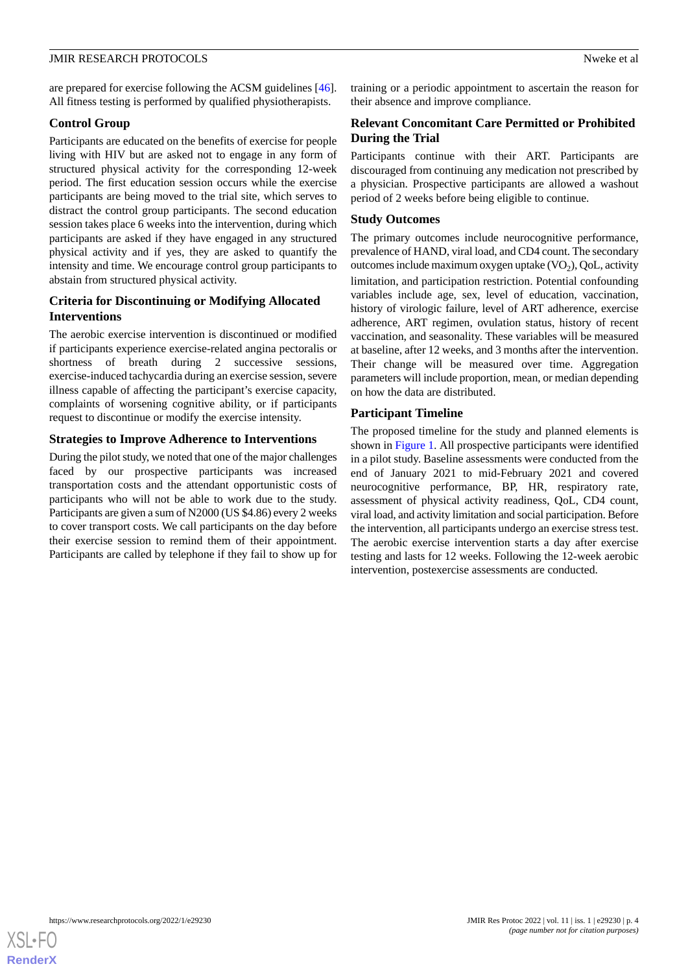are prepared for exercise following the ACSM guidelines [[46\]](#page-11-4). All fitness testing is performed by qualified physiotherapists.

# **Control Group**

Participants are educated on the benefits of exercise for people living with HIV but are asked not to engage in any form of structured physical activity for the corresponding 12-week period. The first education session occurs while the exercise participants are being moved to the trial site, which serves to distract the control group participants. The second education session takes place 6 weeks into the intervention, during which participants are asked if they have engaged in any structured physical activity and if yes, they are asked to quantify the intensity and time. We encourage control group participants to abstain from structured physical activity.

# **Criteria for Discontinuing or Modifying Allocated Interventions**

The aerobic exercise intervention is discontinued or modified if participants experience exercise-related angina pectoralis or shortness of breath during 2 successive sessions, exercise-induced tachycardia during an exercise session, severe illness capable of affecting the participant's exercise capacity, complaints of worsening cognitive ability, or if participants request to discontinue or modify the exercise intensity.

# **Strategies to Improve Adherence to Interventions**

During the pilot study, we noted that one of the major challenges faced by our prospective participants was increased transportation costs and the attendant opportunistic costs of participants who will not be able to work due to the study. Participants are given a sum of N2000 (US \$4.86) every 2 weeks to cover transport costs. We call participants on the day before their exercise session to remind them of their appointment. Participants are called by telephone if they fail to show up for

training or a periodic appointment to ascertain the reason for their absence and improve compliance.

# **Relevant Concomitant Care Permitted or Prohibited During the Trial**

Participants continue with their ART. Participants are discouraged from continuing any medication not prescribed by a physician. Prospective participants are allowed a washout period of 2 weeks before being eligible to continue.

# **Study Outcomes**

The primary outcomes include neurocognitive performance, prevalence of HAND, viral load, and CD4 count. The secondary outcomes include maximum oxygen uptake  $(\rm VO_2)$ , QoL, activity limitation, and participation restriction. Potential confounding variables include age, sex, level of education, vaccination, history of virologic failure, level of ART adherence, exercise adherence, ART regimen, ovulation status, history of recent vaccination, and seasonality. These variables will be measured at baseline, after 12 weeks, and 3 months after the intervention. Their change will be measured over time. Aggregation parameters will include proportion, mean, or median depending on how the data are distributed.

# **Participant Timeline**

The proposed timeline for the study and planned elements is shown in [Figure 1.](#page-4-0) All prospective participants were identified in a pilot study. Baseline assessments were conducted from the end of January 2021 to mid-February 2021 and covered neurocognitive performance, BP, HR, respiratory rate, assessment of physical activity readiness, QoL, CD4 count, viral load, and activity limitation and social participation. Before the intervention, all participants undergo an exercise stress test. The aerobic exercise intervention starts a day after exercise testing and lasts for 12 weeks. Following the 12-week aerobic intervention, postexercise assessments are conducted.

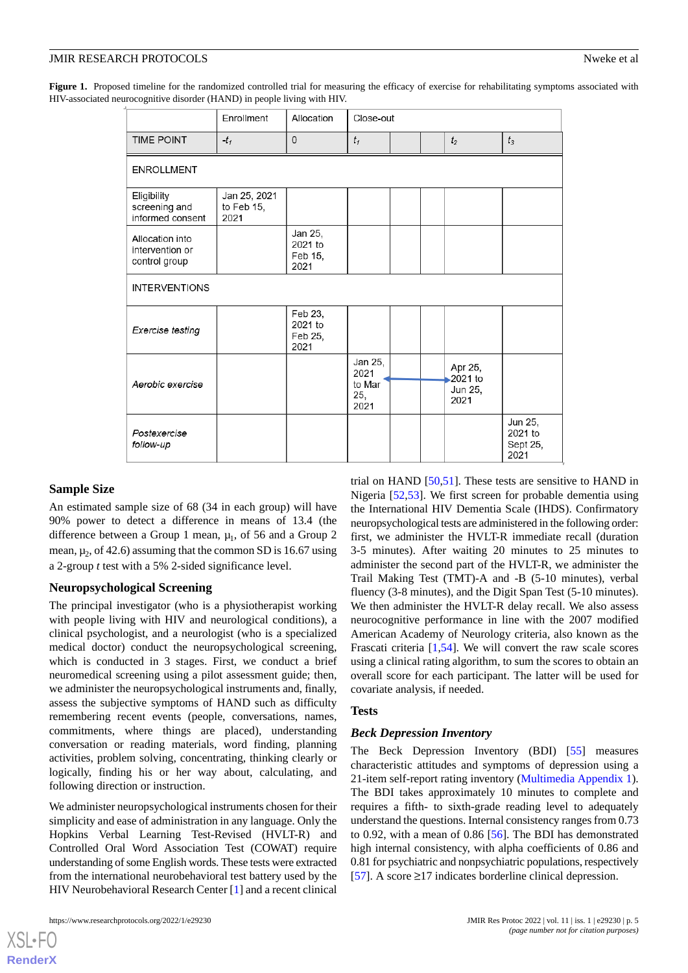<span id="page-4-0"></span>Figure 1. Proposed timeline for the randomized controlled trial for measuring the efficacy of exercise for rehabilitating symptoms associated with HIV-associated neurocognitive disorder (HAND) in people living with HIV.

|                                                     | Enrollment                         | Allocation                            | Close-out                                |  |  |                                       |                                        |
|-----------------------------------------------------|------------------------------------|---------------------------------------|------------------------------------------|--|--|---------------------------------------|----------------------------------------|
| <b>TIME POINT</b>                                   | $-t_1$                             | $\overline{0}$                        | $t_1$                                    |  |  | t <sub>2</sub>                        | $t_3$                                  |
| <b>ENROLLMENT</b>                                   |                                    |                                       |                                          |  |  |                                       |                                        |
| Eligibility<br>screening and<br>informed consent    | Jan 25, 2021<br>to Feb 15,<br>2021 |                                       |                                          |  |  |                                       |                                        |
| Allocation into<br>intervention or<br>control group |                                    | Jan 25,<br>2021 to<br>Feb 15,<br>2021 |                                          |  |  |                                       |                                        |
| <b>INTERVENTIONS</b>                                |                                    |                                       |                                          |  |  |                                       |                                        |
| Exercise testing                                    |                                    | Feb 23,<br>2021 to<br>Feb 25,<br>2021 |                                          |  |  |                                       |                                        |
| Aerobic exercise                                    |                                    |                                       | Jan 25,<br>2021<br>to Mar<br>25,<br>2021 |  |  | Apr 25,<br>2021 to<br>Jun 25,<br>2021 |                                        |
| Postexercise<br>follow-up                           |                                    |                                       |                                          |  |  |                                       | Jun 25,<br>2021 to<br>Sept 25,<br>2021 |

## **Sample Size**

An estimated sample size of 68 (34 in each group) will have 90% power to detect a difference in means of 13.4 (the difference between a Group 1 mean,  $\mu_1$ , of 56 and a Group 2 mean,  $\mu_2$ , of 42.6) assuming that the common SD is 16.67 using a 2-group *t* test with a 5% 2-sided significance level.

## **Neuropsychological Screening**

The principal investigator (who is a physiotherapist working with people living with HIV and neurological conditions), a clinical psychologist, and a neurologist (who is a specialized medical doctor) conduct the neuropsychological screening, which is conducted in 3 stages. First, we conduct a brief neuromedical screening using a pilot assessment guide; then, we administer the neuropsychological instruments and, finally, assess the subjective symptoms of HAND such as difficulty remembering recent events (people, conversations, names, commitments, where things are placed), understanding conversation or reading materials, word finding, planning activities, problem solving, concentrating, thinking clearly or logically, finding his or her way about, calculating, and following direction or instruction.

We administer neuropsychological instruments chosen for their simplicity and ease of administration in any language. Only the Hopkins Verbal Learning Test-Revised (HVLT-R) and Controlled Oral Word Association Test (COWAT) require understanding of some English words. These tests were extracted from the international neurobehavioral test battery used by the HIV Neurobehavioral Research Center [\[1](#page-9-0)] and a recent clinical

[XSL](http://www.w3.org/Style/XSL)•FO **[RenderX](http://www.renderx.com/)**

trial on HAND [[50](#page-11-8)[,51](#page-11-9)]. These tests are sensitive to HAND in Nigeria [\[52](#page-11-10),[53\]](#page-11-11). We first screen for probable dementia using the International HIV Dementia Scale (IHDS). Confirmatory neuropsychological tests are administered in the following order: first, we administer the HVLT-R immediate recall (duration 3-5 minutes). After waiting 20 minutes to 25 minutes to administer the second part of the HVLT-R, we administer the Trail Making Test (TMT)-A and -B (5-10 minutes), verbal fluency (3-8 minutes), and the Digit Span Test (5-10 minutes). We then administer the HVLT-R delay recall. We also assess neurocognitive performance in line with the 2007 modified American Academy of Neurology criteria, also known as the Frascati criteria [\[1](#page-9-0),[54\]](#page-11-12). We will convert the raw scale scores using a clinical rating algorithm, to sum the scores to obtain an overall score for each participant. The latter will be used for covariate analysis, if needed.

#### **Tests**

#### *Beck Depression Inventory*

The Beck Depression Inventory (BDI) [[55\]](#page-11-13) measures characteristic attitudes and symptoms of depression using a 21-item self-report rating inventory ([Multimedia Appendix 1\)](#page-8-0). The BDI takes approximately 10 minutes to complete and requires a fifth- to sixth-grade reading level to adequately understand the questions. Internal consistency ranges from 0.73 to 0.92, with a mean of 0.86 [\[56](#page-11-14)]. The BDI has demonstrated high internal consistency, with alpha coefficients of 0.86 and 0.81 for psychiatric and nonpsychiatric populations, respectively [[57\]](#page-11-15). A score ≥17 indicates borderline clinical depression.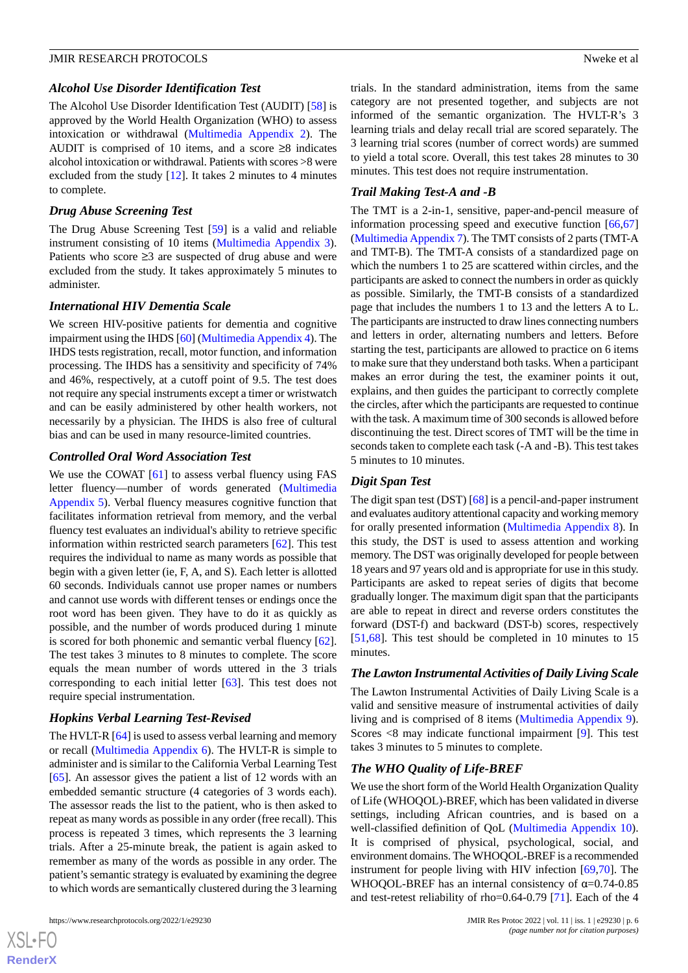#### *Alcohol Use Disorder Identification Test*

The Alcohol Use Disorder Identification Test (AUDIT) [\[58](#page-11-16)] is approved by the World Health Organization (WHO) to assess intoxication or withdrawal ([Multimedia Appendix 2\)](#page-8-1). The AUDIT is comprised of 10 items, and a score  $\geq 8$  indicates alcohol intoxication or withdrawal. Patients with scores >8 were excluded from the study [\[12](#page-9-9)]. It takes 2 minutes to 4 minutes to complete.

#### *Drug Abuse Screening Test*

The Drug Abuse Screening Test [\[59](#page-11-17)] is a valid and reliable instrument consisting of 10 items [\(Multimedia Appendix 3\)](#page-8-2). Patients who score ≥3 are suspected of drug abuse and were excluded from the study. It takes approximately 5 minutes to administer.

## *International HIV Dementia Scale*

We screen HIV-positive patients for dementia and cognitive impairment using the IHDS [[60\]](#page-11-18) [\(Multimedia Appendix 4](#page-8-3)). The IHDS tests registration, recall, motor function, and information processing. The IHDS has a sensitivity and specificity of 74% and 46%, respectively, at a cutoff point of 9.5. The test does not require any special instruments except a timer or wristwatch and can be easily administered by other health workers, not necessarily by a physician. The IHDS is also free of cultural bias and can be used in many resource-limited countries.

#### *Controlled Oral Word Association Test*

We use the COWAT [[61\]](#page-11-19) to assess verbal fluency using FAS letter fluency—number of words generated ([Multimedia](#page-8-4) [Appendix 5\)](#page-8-4). Verbal fluency measures cognitive function that facilitates information retrieval from memory, and the verbal fluency test evaluates an individual's ability to retrieve specific information within restricted search parameters [[62\]](#page-11-20). This test requires the individual to name as many words as possible that begin with a given letter (ie, F, A, and S). Each letter is allotted 60 seconds. Individuals cannot use proper names or numbers and cannot use words with different tenses or endings once the root word has been given. They have to do it as quickly as possible, and the number of words produced during 1 minute is scored for both phonemic and semantic verbal fluency [[62\]](#page-11-20). The test takes 3 minutes to 8 minutes to complete. The score equals the mean number of words uttered in the 3 trials corresponding to each initial letter [\[63](#page-11-21)]. This test does not require special instrumentation.

## *Hopkins Verbal Learning Test-Revised*

The HVLT-R [\[64](#page-11-22)] is used to assess verbal learning and memory or recall [\(Multimedia Appendix 6](#page-8-5)). The HVLT-R is simple to administer and is similar to the California Verbal Learning Test [[65\]](#page-11-23). An assessor gives the patient a list of 12 words with an embedded semantic structure (4 categories of 3 words each). The assessor reads the list to the patient, who is then asked to repeat as many words as possible in any order (free recall). This process is repeated 3 times, which represents the 3 learning trials. After a 25-minute break, the patient is again asked to remember as many of the words as possible in any order. The patient's semantic strategy is evaluated by examining the degree to which words are semantically clustered during the 3 learning

 $XS$  $\cdot$ FC **[RenderX](http://www.renderx.com/)** trials. In the standard administration, items from the same category are not presented together, and subjects are not informed of the semantic organization. The HVLT-R's 3 learning trials and delay recall trial are scored separately. The 3 learning trial scores (number of correct words) are summed to yield a total score. Overall, this test takes 28 minutes to 30 minutes. This test does not require instrumentation.

## *Trail Making Test-A and -B*

The TMT is a 2-in-1, sensitive, paper-and-pencil measure of information processing speed and executive function [[66](#page-12-0)[,67](#page-12-1)] ([Multimedia Appendix 7](#page-8-6)). The TMT consists of 2 parts (TMT-A and TMT-B). The TMT-A consists of a standardized page on which the numbers 1 to 25 are scattered within circles, and the participants are asked to connect the numbers in order as quickly as possible. Similarly, the TMT-B consists of a standardized page that includes the numbers 1 to 13 and the letters A to L. The participants are instructed to draw lines connecting numbers and letters in order, alternating numbers and letters. Before starting the test, participants are allowed to practice on 6 items to make sure that they understand both tasks. When a participant makes an error during the test, the examiner points it out, explains, and then guides the participant to correctly complete the circles, after which the participants are requested to continue with the task. A maximum time of 300 seconds is allowed before discontinuing the test. Direct scores of TMT will be the time in seconds taken to complete each task (-A and -B). This test takes 5 minutes to 10 minutes.

# *Digit Span Test*

The digit span test (DST) [\[68](#page-12-2)] is a pencil-and-paper instrument and evaluates auditory attentional capacity and working memory for orally presented information ([Multimedia Appendix 8\)](#page-8-7). In this study, the DST is used to assess attention and working memory. The DST was originally developed for people between 18 years and 97 years old and is appropriate for use in this study. Participants are asked to repeat series of digits that become gradually longer. The maximum digit span that the participants are able to repeat in direct and reverse orders constitutes the forward (DST-f) and backward (DST-b) scores, respectively [[51,](#page-11-9)[68\]](#page-12-2). This test should be completed in 10 minutes to 15 minutes.

#### *The Lawton Instrumental Activities of Daily Living Scale*

The Lawton Instrumental Activities of Daily Living Scale is a valid and sensitive measure of instrumental activities of daily living and is comprised of 8 items ([Multimedia Appendix 9\)](#page-8-8). Scores <8 may indicate functional impairment [[9\]](#page-9-6). This test takes 3 minutes to 5 minutes to complete.

## *The WHO Quality of Life-BREF*

We use the short form of the World Health Organization Quality of Life (WHOQOL)-BREF, which has been validated in diverse settings, including African countries, and is based on a well-classified definition of QoL [\(Multimedia Appendix 10\)](#page-8-9). It is comprised of physical, psychological, social, and environment domains. The WHOQOL-BREF is a recommended instrument for people living with HIV infection [[69,](#page-12-3)[70](#page-12-4)]. The WHOQOL-BREF has an internal consistency of  $\alpha$ =0.74-0.85 and test-retest reliability of rho=0.64-0.79 [[71\]](#page-12-5). Each of the 4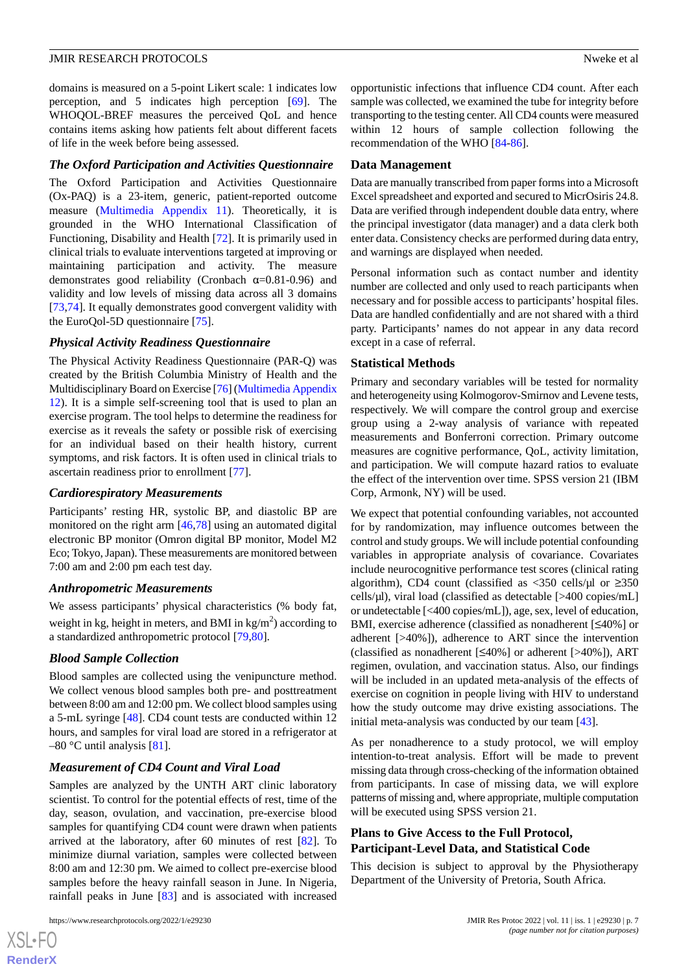domains is measured on a 5-point Likert scale: 1 indicates low perception, and 5 indicates high perception [\[69](#page-12-3)]. The WHOQOL-BREF measures the perceived QoL and hence contains items asking how patients felt about different facets of life in the week before being assessed.

# *The Oxford Participation and Activities Questionnaire*

The Oxford Participation and Activities Questionnaire (Ox-PAQ) is a 23-item, generic, patient-reported outcome measure [\(Multimedia Appendix 11\)](#page-8-10). Theoretically, it is grounded in the WHO International Classification of Functioning, Disability and Health [\[72](#page-12-6)]. It is primarily used in clinical trials to evaluate interventions targeted at improving or maintaining participation and activity. The measure demonstrates good reliability (Cronbach  $\alpha$ =0.81-0.96) and validity and low levels of missing data across all 3 domains [[73](#page-12-7)[,74](#page-12-8)]. It equally demonstrates good convergent validity with the EuroQol-5D questionnaire [\[75](#page-12-9)].

# *Physical Activity Readiness Questionnaire*

The Physical Activity Readiness Questionnaire (PAR-Q) was created by the British Columbia Ministry of Health and the Multidisciplinary Board on Exercise [[76\]](#page-12-10) ([Multimedia Appendix](#page-8-11) [12](#page-8-11)). It is a simple self-screening tool that is used to plan an exercise program. The tool helps to determine the readiness for exercise as it reveals the safety or possible risk of exercising for an individual based on their health history, current symptoms, and risk factors. It is often used in clinical trials to ascertain readiness prior to enrollment [[77\]](#page-12-11).

## *Cardiorespiratory Measurements*

Participants' resting HR, systolic BP, and diastolic BP are monitored on the right arm [[46](#page-11-4)[,78](#page-12-12)] using an automated digital electronic BP monitor (Omron digital BP monitor, Model M2 Eco; Tokyo, Japan). These measurements are monitored between 7:00 am and 2:00 pm each test day.

## *Anthropometric Measurements*

We assess participants' physical characteristics (% body fat, weight in kg, height in meters, and BMI in kg/m<sup>2</sup>) according to a standardized anthropometric protocol [\[79](#page-12-13),[80\]](#page-12-14).

# *Blood Sample Collection*

Blood samples are collected using the venipuncture method. We collect venous blood samples both pre- and posttreatment between 8:00 am and 12:00 pm. We collect blood samples using a 5-mL syringe [[48\]](#page-11-6). CD4 count tests are conducted within 12 hours, and samples for viral load are stored in a refrigerator at  $-80$  °C until analysis [\[81](#page-12-15)].

# *Measurement of CD4 Count and Viral Load*

Samples are analyzed by the UNTH ART clinic laboratory scientist. To control for the potential effects of rest, time of the day, season, ovulation, and vaccination, pre-exercise blood samples for quantifying CD4 count were drawn when patients arrived at the laboratory, after 60 minutes of rest [[82\]](#page-12-16). To minimize diurnal variation, samples were collected between 8:00 am and 12:30 pm. We aimed to collect pre-exercise blood samples before the heavy rainfall season in June. In Nigeria, rainfall peaks in June [[83\]](#page-12-17) and is associated with increased

 $XS$ -FO **[RenderX](http://www.renderx.com/)** opportunistic infections that influence CD4 count. After each sample was collected, we examined the tube for integrity before transporting to the testing center. All CD4 counts were measured within 12 hours of sample collection following the recommendation of the WHO [[84-](#page-12-18)[86\]](#page-12-19).

## **Data Management**

Data are manually transcribed from paper forms into a Microsoft Excel spreadsheet and exported and secured to MicrOsiris 24.8. Data are verified through independent double data entry, where the principal investigator (data manager) and a data clerk both enter data. Consistency checks are performed during data entry, and warnings are displayed when needed.

Personal information such as contact number and identity number are collected and only used to reach participants when necessary and for possible access to participants' hospital files. Data are handled confidentially and are not shared with a third party. Participants' names do not appear in any data record except in a case of referral.

# **Statistical Methods**

Primary and secondary variables will be tested for normality and heterogeneity using Kolmogorov-Smirnov and Levene tests, respectively. We will compare the control group and exercise group using a 2-way analysis of variance with repeated measurements and Bonferroni correction. Primary outcome measures are cognitive performance, QoL, activity limitation, and participation. We will compute hazard ratios to evaluate the effect of the intervention over time. SPSS version 21 (IBM Corp, Armonk, NY) will be used.

We expect that potential confounding variables, not accounted for by randomization, may influence outcomes between the control and study groups. We will include potential confounding variables in appropriate analysis of covariance. Covariates include neurocognitive performance test scores (clinical rating algorithm), CD4 count (classified as  $\langle 350 \text{ cells/}\mu \rangle$  or  $\geq 350$ cells/µl), viral load (classified as detectable [>400 copies/mL] or undetectable [<400 copies/mL]), age, sex, level of education, BMI, exercise adherence (classified as nonadherent [≤40%] or adherent [>40%]), adherence to ART since the intervention (classified as nonadherent [≤40%] or adherent [>40%]), ART regimen, ovulation, and vaccination status. Also, our findings will be included in an updated meta-analysis of the effects of exercise on cognition in people living with HIV to understand how the study outcome may drive existing associations. The initial meta-analysis was conducted by our team [\[43](#page-11-1)].

As per nonadherence to a study protocol, we will employ intention-to-treat analysis. Effort will be made to prevent missing data through cross-checking of the information obtained from participants. In case of missing data, we will explore patterns of missing and, where appropriate, multiple computation will be executed using SPSS version 21.

# **Plans to Give Access to the Full Protocol, Participant-Level Data, and Statistical Code**

This decision is subject to approval by the Physiotherapy Department of the University of Pretoria, South Africa.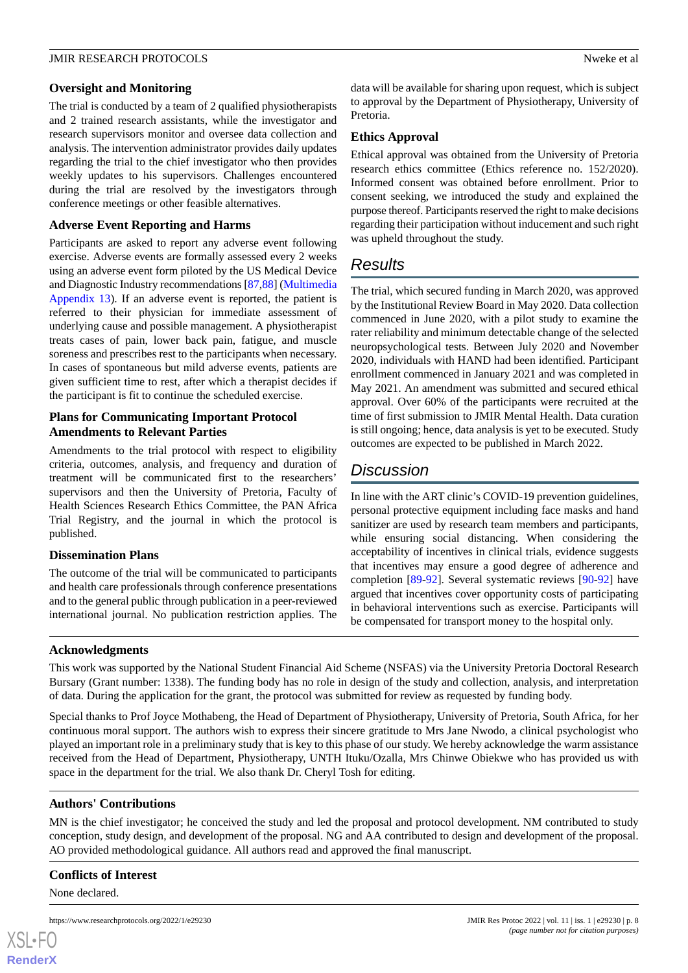## **Oversight and Monitoring**

The trial is conducted by a team of 2 qualified physiotherapists and 2 trained research assistants, while the investigator and research supervisors monitor and oversee data collection and analysis. The intervention administrator provides daily updates regarding the trial to the chief investigator who then provides weekly updates to his supervisors. Challenges encountered during the trial are resolved by the investigators through conference meetings or other feasible alternatives.

## **Adverse Event Reporting and Harms**

Participants are asked to report any adverse event following exercise. Adverse events are formally assessed every 2 weeks using an adverse event form piloted by the US Medical Device and Diagnostic Industry recommendations [\[87](#page-12-20),[88\]](#page-12-21) [\(Multimedia](#page-8-12) [Appendix 13\)](#page-8-12). If an adverse event is reported, the patient is referred to their physician for immediate assessment of underlying cause and possible management. A physiotherapist treats cases of pain, lower back pain, fatigue, and muscle soreness and prescribes rest to the participants when necessary. In cases of spontaneous but mild adverse events, patients are given sufficient time to rest, after which a therapist decides if the participant is fit to continue the scheduled exercise.

# **Plans for Communicating Important Protocol Amendments to Relevant Parties**

Amendments to the trial protocol with respect to eligibility criteria, outcomes, analysis, and frequency and duration of treatment will be communicated first to the researchers' supervisors and then the University of Pretoria, Faculty of Health Sciences Research Ethics Committee, the PAN Africa Trial Registry, and the journal in which the protocol is published.

## **Dissemination Plans**

The outcome of the trial will be communicated to participants and health care professionals through conference presentations and to the general public through publication in a peer-reviewed international journal. No publication restriction applies. The

data will be available for sharing upon request, which is subject to approval by the Department of Physiotherapy, University of Pretoria.

## **Ethics Approval**

Ethical approval was obtained from the University of Pretoria research ethics committee (Ethics reference no. 152/2020). Informed consent was obtained before enrollment. Prior to consent seeking, we introduced the study and explained the purpose thereof. Participants reserved the right to make decisions regarding their participation without inducement and such right was upheld throughout the study.

# *Results*

The trial, which secured funding in March 2020, was approved by the Institutional Review Board in May 2020. Data collection commenced in June 2020, with a pilot study to examine the rater reliability and minimum detectable change of the selected neuropsychological tests. Between July 2020 and November 2020, individuals with HAND had been identified. Participant enrollment commenced in January 2021 and was completed in May 2021. An amendment was submitted and secured ethical approval. Over 60% of the participants were recruited at the time of first submission to JMIR Mental Health. Data curation is still ongoing; hence, data analysis is yet to be executed. Study outcomes are expected to be published in March 2022.

# *Discussion*

In line with the ART clinic's COVID-19 prevention guidelines, personal protective equipment including face masks and hand sanitizer are used by research team members and participants, while ensuring social distancing. When considering the acceptability of incentives in clinical trials, evidence suggests that incentives may ensure a good degree of adherence and completion [\[89](#page-12-22)-[92\]](#page-13-0). Several systematic reviews [\[90](#page-12-23)[-92](#page-13-0)] have argued that incentives cover opportunity costs of participating in behavioral interventions such as exercise. Participants will be compensated for transport money to the hospital only.

## **Acknowledgments**

This work was supported by the National Student Financial Aid Scheme (NSFAS) via the University Pretoria Doctoral Research Bursary (Grant number: 1338). The funding body has no role in design of the study and collection, analysis, and interpretation of data. During the application for the grant, the protocol was submitted for review as requested by funding body.

Special thanks to Prof Joyce Mothabeng, the Head of Department of Physiotherapy, University of Pretoria, South Africa, for her continuous moral support. The authors wish to express their sincere gratitude to Mrs Jane Nwodo, a clinical psychologist who played an important role in a preliminary study that is key to this phase of our study. We hereby acknowledge the warm assistance received from the Head of Department, Physiotherapy, UNTH Ituku/Ozalla, Mrs Chinwe Obiekwe who has provided us with space in the department for the trial. We also thank Dr. Cheryl Tosh for editing.

## **Authors' Contributions**

MN is the chief investigator; he conceived the study and led the proposal and protocol development. NM contributed to study conception, study design, and development of the proposal. NG and AA contributed to design and development of the proposal. AO provided methodological guidance. All authors read and approved the final manuscript.

## **Conflicts of Interest**

None declared.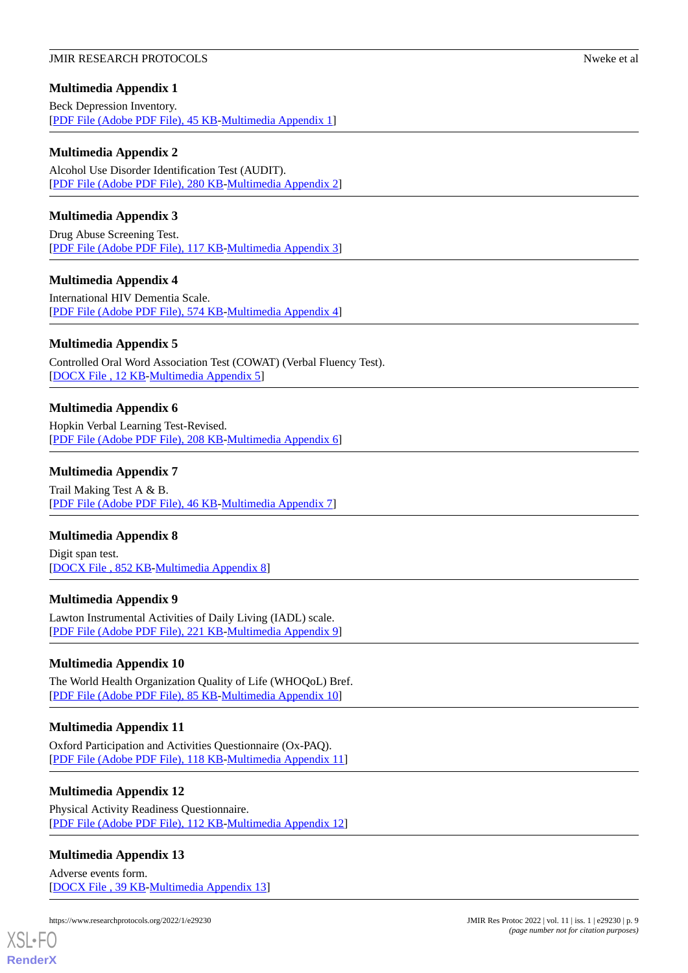# <span id="page-8-0"></span>**Multimedia Appendix 1**

Beck Depression Inventory. [[PDF File \(Adobe PDF File\), 45 KB](https://jmir.org/api/download?alt_name=resprot_v11i1e29230_app1.pdf&filename=19d9eafd3644c8dbc314c104642cc16b.pdf)-[Multimedia Appendix 1\]](https://jmir.org/api/download?alt_name=resprot_v11i1e29230_app1.pdf&filename=19d9eafd3644c8dbc314c104642cc16b.pdf)

# <span id="page-8-1"></span>**Multimedia Appendix 2**

Alcohol Use Disorder Identification Test (AUDIT). [[PDF File \(Adobe PDF File\), 280 KB](https://jmir.org/api/download?alt_name=resprot_v11i1e29230_app2.pdf&filename=c885fc456b1fb3354fc1e8fc89edd1bd.pdf)-[Multimedia Appendix 2\]](https://jmir.org/api/download?alt_name=resprot_v11i1e29230_app2.pdf&filename=c885fc456b1fb3354fc1e8fc89edd1bd.pdf)

# <span id="page-8-2"></span>**Multimedia Appendix 3**

<span id="page-8-3"></span>Drug Abuse Screening Test. [[PDF File \(Adobe PDF File\), 117 KB](https://jmir.org/api/download?alt_name=resprot_v11i1e29230_app3.pdf&filename=a0ed938abd35760e1ded6ed13fcb4518.pdf)-[Multimedia Appendix 3\]](https://jmir.org/api/download?alt_name=resprot_v11i1e29230_app3.pdf&filename=a0ed938abd35760e1ded6ed13fcb4518.pdf)

# **Multimedia Appendix 4**

<span id="page-8-4"></span>International HIV Dementia Scale. [[PDF File \(Adobe PDF File\), 574 KB](https://jmir.org/api/download?alt_name=resprot_v11i1e29230_app4.pdf&filename=810e56b94ad99f63dfdf1d2a8356b0d6.pdf)-[Multimedia Appendix 4\]](https://jmir.org/api/download?alt_name=resprot_v11i1e29230_app4.pdf&filename=810e56b94ad99f63dfdf1d2a8356b0d6.pdf)

# **Multimedia Appendix 5**

<span id="page-8-5"></span>Controlled Oral Word Association Test (COWAT) (Verbal Fluency Test). [[DOCX File , 12 KB](https://jmir.org/api/download?alt_name=resprot_v11i1e29230_app5.docx&filename=76b4a9b50f45889b1863dd03a3d13a79.docx)-[Multimedia Appendix 5\]](https://jmir.org/api/download?alt_name=resprot_v11i1e29230_app5.docx&filename=76b4a9b50f45889b1863dd03a3d13a79.docx)

# **Multimedia Appendix 6**

<span id="page-8-6"></span>Hopkin Verbal Learning Test-Revised. [[PDF File \(Adobe PDF File\), 208 KB](https://jmir.org/api/download?alt_name=resprot_v11i1e29230_app6.pdf&filename=6fded8f5c0cffcaa1fe3c4d8be61b89a.pdf)-[Multimedia Appendix 6\]](https://jmir.org/api/download?alt_name=resprot_v11i1e29230_app6.pdf&filename=6fded8f5c0cffcaa1fe3c4d8be61b89a.pdf)

## **Multimedia Appendix 7**

<span id="page-8-7"></span>Trail Making Test A & B. [[PDF File \(Adobe PDF File\), 46 KB](https://jmir.org/api/download?alt_name=resprot_v11i1e29230_app7.pdf&filename=dbafd5535fdccf935e05632bdceb43c6.pdf)-[Multimedia Appendix 7\]](https://jmir.org/api/download?alt_name=resprot_v11i1e29230_app7.pdf&filename=dbafd5535fdccf935e05632bdceb43c6.pdf)

## <span id="page-8-8"></span>**Multimedia Appendix 8**

Digit span test. [[DOCX File , 852 KB-Multimedia Appendix 8\]](https://jmir.org/api/download?alt_name=resprot_v11i1e29230_app8.docx&filename=53c0dfbd0437af40be465feded2b5016.docx)

# <span id="page-8-9"></span>**Multimedia Appendix 9**

Lawton Instrumental Activities of Daily Living (IADL) scale. [[PDF File \(Adobe PDF File\), 221 KB](https://jmir.org/api/download?alt_name=resprot_v11i1e29230_app9.pdf&filename=85e9fc3949fef45f3f61e78fcb14843a.pdf)-[Multimedia Appendix 9\]](https://jmir.org/api/download?alt_name=resprot_v11i1e29230_app9.pdf&filename=85e9fc3949fef45f3f61e78fcb14843a.pdf)

# <span id="page-8-10"></span>**Multimedia Appendix 10**

The World Health Organization Quality of Life (WHOQoL) Bref. [[PDF File \(Adobe PDF File\), 85 KB](https://jmir.org/api/download?alt_name=resprot_v11i1e29230_app10.pdf&filename=9b085eb2c59e8aaf70ec622ce3d622a0.pdf)-[Multimedia Appendix 10\]](https://jmir.org/api/download?alt_name=resprot_v11i1e29230_app10.pdf&filename=9b085eb2c59e8aaf70ec622ce3d622a0.pdf)

# <span id="page-8-11"></span>**Multimedia Appendix 11**

Oxford Participation and Activities Questionnaire (Ox-PAQ). [[PDF File \(Adobe PDF File\), 118 KB](https://jmir.org/api/download?alt_name=resprot_v11i1e29230_app11.pdf&filename=9b4347be1b2ebca2b98231b9607c3d20.pdf)-[Multimedia Appendix 11\]](https://jmir.org/api/download?alt_name=resprot_v11i1e29230_app11.pdf&filename=9b4347be1b2ebca2b98231b9607c3d20.pdf)

## <span id="page-8-12"></span>**Multimedia Appendix 12**

Physical Activity Readiness Questionnaire. [[PDF File \(Adobe PDF File\), 112 KB](https://jmir.org/api/download?alt_name=resprot_v11i1e29230_app12.pdf&filename=fea66cdc9976f1eeaf2d8d6a42ae9f3c.pdf)-[Multimedia Appendix 12\]](https://jmir.org/api/download?alt_name=resprot_v11i1e29230_app12.pdf&filename=fea66cdc9976f1eeaf2d8d6a42ae9f3c.pdf)

# **Multimedia Appendix 13**

Adverse events form. [[DOCX File , 39 KB](https://jmir.org/api/download?alt_name=resprot_v11i1e29230_app13.docx&filename=28d2642e3ba886d1f6fb588f3c7b744c.docx)-[Multimedia Appendix 13\]](https://jmir.org/api/download?alt_name=resprot_v11i1e29230_app13.docx&filename=28d2642e3ba886d1f6fb588f3c7b744c.docx)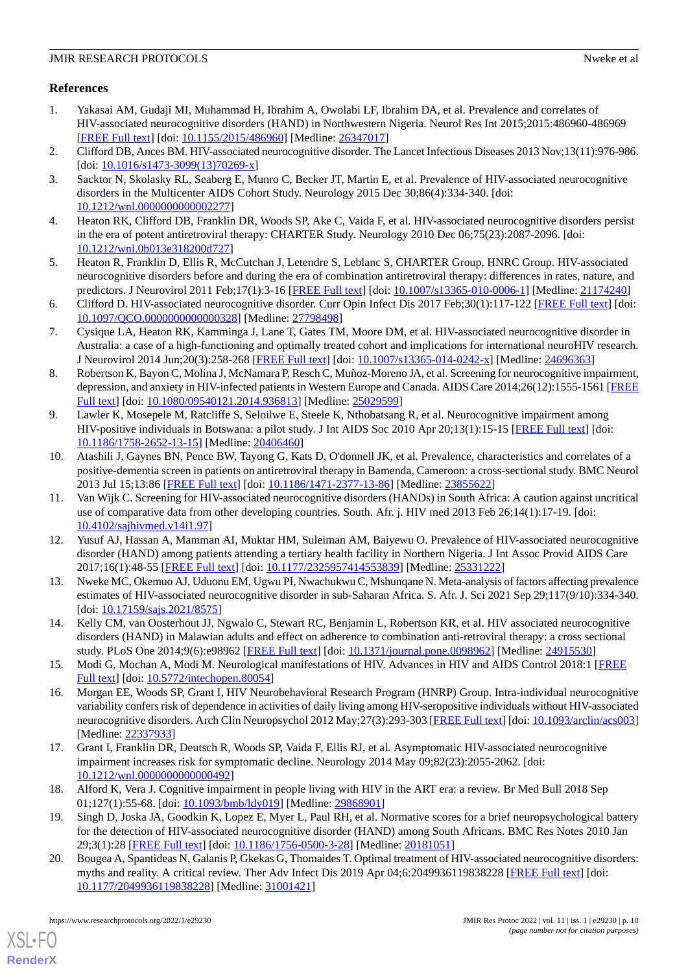# **References**

- <span id="page-9-0"></span>1. Yakasai AM, Gudaji MI, Muhammad H, Ibrahim A, Owolabi LF, Ibrahim DA, et al. Prevalence and correlates of HIV-associated neurocognitive disorders (HAND) in Northwestern Nigeria. Neurol Res Int 2015;2015:486960-486969 [[FREE Full text](https://doi.org/10.1155/2015/486960)] [doi: [10.1155/2015/486960\]](http://dx.doi.org/10.1155/2015/486960) [Medline: [26347017](http://www.ncbi.nlm.nih.gov/entrez/query.fcgi?cmd=Retrieve&db=PubMed&list_uids=26347017&dopt=Abstract)]
- <span id="page-9-2"></span><span id="page-9-1"></span>2. Clifford DB, Ances BM. HIV-associated neurocognitive disorder. The Lancet Infectious Diseases 2013 Nov;13(11):976-986. [doi: [10.1016/s1473-3099\(13\)70269-x](http://dx.doi.org/10.1016/s1473-3099(13)70269-x)]
- 3. Sacktor N, Skolasky RL, Seaberg E, Munro C, Becker JT, Martin E, et al. Prevalence of HIV-associated neurocognitive disorders in the Multicenter AIDS Cohort Study. Neurology 2015 Dec 30;86(4):334-340. [doi: [10.1212/wnl.0000000000002277](http://dx.doi.org/10.1212/wnl.0000000000002277)]
- <span id="page-9-3"></span>4. Heaton RK, Clifford DB, Franklin DR, Woods SP, Ake C, Vaida F, et al. HIV-associated neurocognitive disorders persist in the era of potent antiretroviral therapy: CHARTER Study. Neurology 2010 Dec 06;75(23):2087-2096. [doi: [10.1212/wnl.0b013e318200d727\]](http://dx.doi.org/10.1212/wnl.0b013e318200d727)
- <span id="page-9-4"></span>5. Heaton R, Franklin D, Ellis R, McCutchan J, Letendre S, Leblanc S, CHARTER Group, HNRC Group. HIV-associated neurocognitive disorders before and during the era of combination antiretroviral therapy: differences in rates, nature, and predictors. J Neurovirol 2011 Feb;17(1):3-16 [\[FREE Full text](http://europepmc.org/abstract/MED/21174240)] [doi: [10.1007/s13365-010-0006-1\]](http://dx.doi.org/10.1007/s13365-010-0006-1) [Medline: [21174240\]](http://www.ncbi.nlm.nih.gov/entrez/query.fcgi?cmd=Retrieve&db=PubMed&list_uids=21174240&dopt=Abstract)
- 6. Clifford D. HIV-associated neurocognitive disorder. Curr Opin Infect Dis 2017 Feb;30(1):117-122 [[FREE Full text](http://europepmc.org/abstract/MED/27798498)] [doi: [10.1097/QCO.0000000000000328](http://dx.doi.org/10.1097/QCO.0000000000000328)] [Medline: [27798498](http://www.ncbi.nlm.nih.gov/entrez/query.fcgi?cmd=Retrieve&db=PubMed&list_uids=27798498&dopt=Abstract)]
- <span id="page-9-5"></span>7. Cysique LA, Heaton RK, Kamminga J, Lane T, Gates TM, Moore DM, et al. HIV-associated neurocognitive disorder in Australia: a case of a high-functioning and optimally treated cohort and implications for international neuroHIV research. J Neurovirol 2014 Jun;20(3):258-268 [[FREE Full text](http://europepmc.org/abstract/MED/24696363)] [doi: [10.1007/s13365-014-0242-x\]](http://dx.doi.org/10.1007/s13365-014-0242-x) [Medline: [24696363\]](http://www.ncbi.nlm.nih.gov/entrez/query.fcgi?cmd=Retrieve&db=PubMed&list_uids=24696363&dopt=Abstract)
- <span id="page-9-6"></span>8. Robertson K, Bayon C, Molina J, McNamara P, Resch C, Muñoz-Moreno JA, et al. Screening for neurocognitive impairment, depression, and anxiety in HIV-infected patients in Western Europe and Canada. AIDS Care 2014;26(12):1555-1561 [\[FREE](http://europepmc.org/abstract/MED/25029599) [Full text\]](http://europepmc.org/abstract/MED/25029599) [doi: [10.1080/09540121.2014.936813\]](http://dx.doi.org/10.1080/09540121.2014.936813) [Medline: [25029599](http://www.ncbi.nlm.nih.gov/entrez/query.fcgi?cmd=Retrieve&db=PubMed&list_uids=25029599&dopt=Abstract)]
- <span id="page-9-7"></span>9. Lawler K, Mosepele M, Ratcliffe S, Seloilwe E, Steele K, Nthobatsang R, et al. Neurocognitive impairment among HIV-positive individuals in Botswana: a pilot study. J Int AIDS Soc 2010 Apr 20;13(1):15-15 [\[FREE Full text](https://jiasociety.biomedcentral.com/articles/10.1186/1758-2652-13-15)] [doi: [10.1186/1758-2652-13-15\]](http://dx.doi.org/10.1186/1758-2652-13-15) [Medline: [20406460\]](http://www.ncbi.nlm.nih.gov/entrez/query.fcgi?cmd=Retrieve&db=PubMed&list_uids=20406460&dopt=Abstract)
- <span id="page-9-8"></span>10. Atashili J, Gaynes BN, Pence BW, Tayong G, Kats D, O'donnell JK, et al. Prevalence, characteristics and correlates of a positive-dementia screen in patients on antiretroviral therapy in Bamenda, Cameroon: a cross-sectional study. BMC Neurol 2013 Jul 15;13:86 [[FREE Full text](https://bmcneurol.biomedcentral.com/articles/10.1186/1471-2377-13-86)] [doi: [10.1186/1471-2377-13-86\]](http://dx.doi.org/10.1186/1471-2377-13-86) [Medline: [23855622](http://www.ncbi.nlm.nih.gov/entrez/query.fcgi?cmd=Retrieve&db=PubMed&list_uids=23855622&dopt=Abstract)]
- <span id="page-9-9"></span>11. Van Wijk C. Screening for HIV-associated neurocognitive disorders (HANDs) in South Africa: A caution against uncritical use of comparative data from other developing countries. South. Afr. j. HIV med 2013 Feb 26;14(1):17-19. [doi: [10.4102/sajhivmed.v14i1.97](http://dx.doi.org/10.4102/sajhivmed.v14i1.97)]
- <span id="page-9-10"></span>12. Yusuf AJ, Hassan A, Mamman AI, Muktar HM, Suleiman AM, Baiyewu O. Prevalence of HIV-associated neurocognitive disorder (HAND) among patients attending a tertiary health facility in Northern Nigeria. J Int Assoc Provid AIDS Care 2017;16(1):48-55 [[FREE Full text](https://journals.sagepub.com/doi/10.1177/2325957414553839?url_ver=Z39.88-2003&rfr_id=ori:rid:crossref.org&rfr_dat=cr_pub%3dpubmed)] [doi: [10.1177/2325957414553839\]](http://dx.doi.org/10.1177/2325957414553839) [Medline: [25331222\]](http://www.ncbi.nlm.nih.gov/entrez/query.fcgi?cmd=Retrieve&db=PubMed&list_uids=25331222&dopt=Abstract)
- <span id="page-9-12"></span><span id="page-9-11"></span>13. Nweke MC, Okemuo AJ, Uduonu EM, Ugwu PI, Nwachukwu C, Mshunqane N. Meta-analysis of factors affecting prevalence estimates of HIV-associated neurocognitive disorder in sub-Saharan Africa. S. Afr. J. Sci 2021 Sep 29;117(9/10):334-340. [doi: [10.17159/sajs.2021/8575](http://dx.doi.org/10.17159/sajs.2021/8575)]
- <span id="page-9-13"></span>14. Kelly CM, van Oosterhout JJ, Ngwalo C, Stewart RC, Benjamin L, Robertson KR, et al. HIV associated neurocognitive disorders (HAND) in Malawian adults and effect on adherence to combination anti-retroviral therapy: a cross sectional study. PLoS One 2014;9(6):e98962 [[FREE Full text](https://dx.plos.org/10.1371/journal.pone.0098962)] [doi: [10.1371/journal.pone.0098962\]](http://dx.doi.org/10.1371/journal.pone.0098962) [Medline: [24915530](http://www.ncbi.nlm.nih.gov/entrez/query.fcgi?cmd=Retrieve&db=PubMed&list_uids=24915530&dopt=Abstract)]
- <span id="page-9-14"></span>15. Modi G, Mochan A, Modi M. Neurological manifestations of HIV. Advances in HIV and AIDS Control 2018:1 [[FREE](https://www.intechopen.com/chapters/63934) [Full text\]](https://www.intechopen.com/chapters/63934) [doi: [10.5772/intechopen.80054\]](http://dx.doi.org/10.5772/intechopen.80054)
- <span id="page-9-15"></span>16. Morgan EE, Woods SP, Grant I, HIV Neurobehavioral Research Program (HNRP) Group. Intra-individual neurocognitive variability confers risk of dependence in activities of daily living among HIV-seropositive individuals without HIV-associated neurocognitive disorders. Arch Clin Neuropsychol 2012 May;27(3):293-303 [\[FREE Full text](http://europepmc.org/abstract/MED/22337933)] [doi: [10.1093/arclin/acs003](http://dx.doi.org/10.1093/arclin/acs003)] [Medline: [22337933](http://www.ncbi.nlm.nih.gov/entrez/query.fcgi?cmd=Retrieve&db=PubMed&list_uids=22337933&dopt=Abstract)]
- <span id="page-9-16"></span>17. Grant I, Franklin DR, Deutsch R, Woods SP, Vaida F, Ellis RJ, et al. Asymptomatic HIV-associated neurocognitive impairment increases risk for symptomatic decline. Neurology 2014 May 09;82(23):2055-2062. [doi: [10.1212/wnl.0000000000000492](http://dx.doi.org/10.1212/wnl.0000000000000492)]
- <span id="page-9-17"></span>18. Alford K, Vera J. Cognitive impairment in people living with HIV in the ART era: a review. Br Med Bull 2018 Sep 01;127(1):55-68. [doi: [10.1093/bmb/ldy019](http://dx.doi.org/10.1093/bmb/ldy019)] [Medline: [29868901\]](http://www.ncbi.nlm.nih.gov/entrez/query.fcgi?cmd=Retrieve&db=PubMed&list_uids=29868901&dopt=Abstract)
- 19. Singh D, Joska JA, Goodkin K, Lopez E, Myer L, Paul RH, et al. Normative scores for a brief neuropsychological battery for the detection of HIV-associated neurocognitive disorder (HAND) among South Africans. BMC Res Notes 2010 Jan 29;3(1):28 [[FREE Full text\]](https://bmcresnotes.biomedcentral.com/articles/10.1186/1756-0500-3-28) [doi: [10.1186/1756-0500-3-28](http://dx.doi.org/10.1186/1756-0500-3-28)] [Medline: [20181051](http://www.ncbi.nlm.nih.gov/entrez/query.fcgi?cmd=Retrieve&db=PubMed&list_uids=20181051&dopt=Abstract)]
- 20. Bougea A, Spantideas N, Galanis P, Gkekas G, Thomaides T. Optimal treatment of HIV-associated neurocognitive disorders: myths and reality. A critical review. Ther Adv Infect Dis 2019 Apr 04;6:2049936119838228 [[FREE Full text](https://journals.sagepub.com/doi/10.1177/2049936119838228?url_ver=Z39.88-2003&rfr_id=ori:rid:crossref.org&rfr_dat=cr_pub%3dpubmed)] [doi: [10.1177/2049936119838228\]](http://dx.doi.org/10.1177/2049936119838228) [Medline: [31001421\]](http://www.ncbi.nlm.nih.gov/entrez/query.fcgi?cmd=Retrieve&db=PubMed&list_uids=31001421&dopt=Abstract)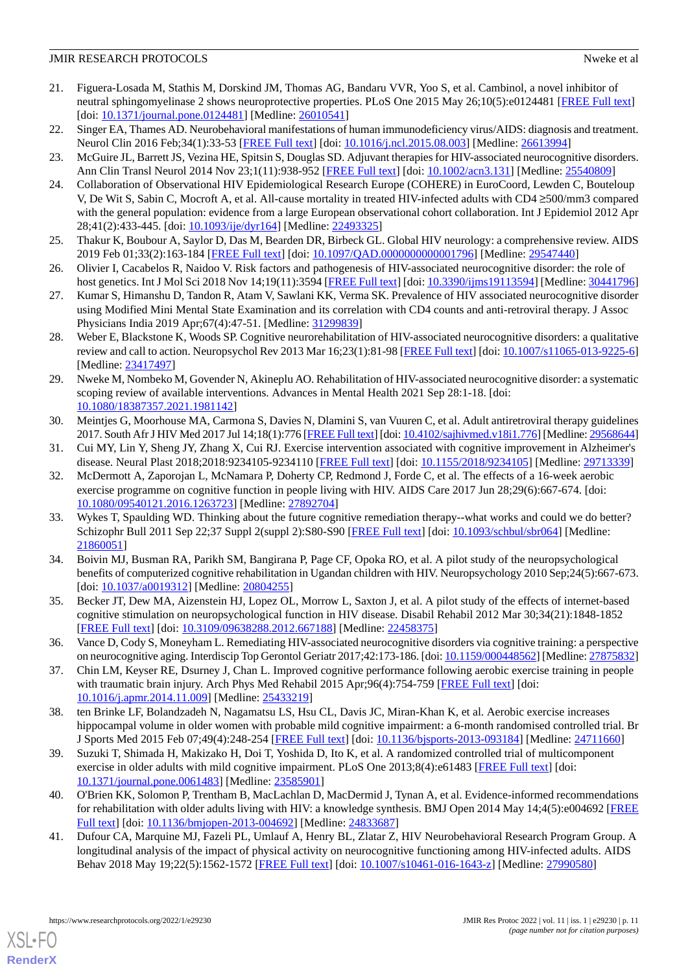- <span id="page-10-0"></span>21. Figuera-Losada M, Stathis M, Dorskind JM, Thomas AG, Bandaru VVR, Yoo S, et al. Cambinol, a novel inhibitor of neutral sphingomyelinase 2 shows neuroprotective properties. PLoS One 2015 May 26;10(5):e0124481 [[FREE Full text](https://dx.plos.org/10.1371/journal.pone.0124481)] [doi: [10.1371/journal.pone.0124481\]](http://dx.doi.org/10.1371/journal.pone.0124481) [Medline: [26010541\]](http://www.ncbi.nlm.nih.gov/entrez/query.fcgi?cmd=Retrieve&db=PubMed&list_uids=26010541&dopt=Abstract)
- <span id="page-10-2"></span><span id="page-10-1"></span>22. Singer EA, Thames AD. Neurobehavioral manifestations of human immunodeficiency virus/AIDS: diagnosis and treatment. Neurol Clin 2016 Feb;34(1):33-53 [\[FREE Full text\]](http://europepmc.org/abstract/MED/26613994) [doi: [10.1016/j.ncl.2015.08.003](http://dx.doi.org/10.1016/j.ncl.2015.08.003)] [Medline: [26613994](http://www.ncbi.nlm.nih.gov/entrez/query.fcgi?cmd=Retrieve&db=PubMed&list_uids=26613994&dopt=Abstract)]
- <span id="page-10-3"></span>23. McGuire JL, Barrett JS, Vezina HE, Spitsin S, Douglas SD. Adjuvant therapies for HIV-associated neurocognitive disorders. Ann Clin Transl Neurol 2014 Nov 23;1(11):938-952 [\[FREE Full text\]](https://doi.org/10.1002/acn3.131) [doi: [10.1002/acn3.131\]](http://dx.doi.org/10.1002/acn3.131) [Medline: [25540809\]](http://www.ncbi.nlm.nih.gov/entrez/query.fcgi?cmd=Retrieve&db=PubMed&list_uids=25540809&dopt=Abstract)
- 24. Collaboration of Observational HIV Epidemiological Research Europe (COHERE) in EuroCoord, Lewden C, Bouteloup V, De Wit S, Sabin C, Mocroft A, et al. All-cause mortality in treated HIV-infected adults with CD4 ≥500/mm3 compared with the general population: evidence from a large European observational cohort collaboration. Int J Epidemiol 2012 Apr 28;41(2):433-445. [doi: [10.1093/ije/dyr164\]](http://dx.doi.org/10.1093/ije/dyr164) [Medline: [22493325\]](http://www.ncbi.nlm.nih.gov/entrez/query.fcgi?cmd=Retrieve&db=PubMed&list_uids=22493325&dopt=Abstract)
- <span id="page-10-5"></span><span id="page-10-4"></span>25. Thakur K, Boubour A, Saylor D, Das M, Bearden DR, Birbeck GL. Global HIV neurology: a comprehensive review. AIDS 2019 Feb 01;33(2):163-184 [[FREE Full text](http://europepmc.org/abstract/MED/29547440)] [doi: [10.1097/QAD.0000000000001796\]](http://dx.doi.org/10.1097/QAD.0000000000001796) [Medline: [29547440\]](http://www.ncbi.nlm.nih.gov/entrez/query.fcgi?cmd=Retrieve&db=PubMed&list_uids=29547440&dopt=Abstract)
- 26. Olivier I, Cacabelos R, Naidoo V. Risk factors and pathogenesis of HIV-associated neurocognitive disorder: the role of host genetics. Int J Mol Sci 2018 Nov 14;19(11):3594 [\[FREE Full text\]](https://www.mdpi.com/resolver?pii=ijms19113594) [doi: [10.3390/ijms19113594](http://dx.doi.org/10.3390/ijms19113594)] [Medline: [30441796](http://www.ncbi.nlm.nih.gov/entrez/query.fcgi?cmd=Retrieve&db=PubMed&list_uids=30441796&dopt=Abstract)]
- <span id="page-10-10"></span>27. Kumar S, Himanshu D, Tandon R, Atam V, Sawlani KK, Verma SK. Prevalence of HIV associated neurocognitive disorder using Modified Mini Mental State Examination and its correlation with CD4 counts and anti-retroviral therapy. J Assoc Physicians India 2019 Apr;67(4):47-51. [Medline: [31299839](http://www.ncbi.nlm.nih.gov/entrez/query.fcgi?cmd=Retrieve&db=PubMed&list_uids=31299839&dopt=Abstract)]
- <span id="page-10-6"></span>28. Weber E, Blackstone K, Woods SP. Cognitive neurorehabilitation of HIV-associated neurocognitive disorders: a qualitative review and call to action. Neuropsychol Rev 2013 Mar 16;23(1):81-98 [[FREE Full text](http://europepmc.org/abstract/MED/23417497)] [doi: [10.1007/s11065-013-9225-6](http://dx.doi.org/10.1007/s11065-013-9225-6)] [Medline: [23417497](http://www.ncbi.nlm.nih.gov/entrez/query.fcgi?cmd=Retrieve&db=PubMed&list_uids=23417497&dopt=Abstract)]
- <span id="page-10-7"></span>29. Nweke M, Nombeko M, Govender N, Akineplu AO. Rehabilitation of HIV-associated neurocognitive disorder: a systematic scoping review of available interventions. Advances in Mental Health 2021 Sep 28:1-18. [doi: [10.1080/18387357.2021.1981142\]](http://dx.doi.org/10.1080/18387357.2021.1981142)
- <span id="page-10-9"></span><span id="page-10-8"></span>30. Meintjes G, Moorhouse MA, Carmona S, Davies N, Dlamini S, van Vuuren C, et al. Adult antiretroviral therapy guidelines 2017. South Afr J HIV Med 2017 Jul 14;18(1):776 [[FREE Full text\]](http://europepmc.org/abstract/MED/29568644) [doi: [10.4102/sajhivmed.v18i1.776\]](http://dx.doi.org/10.4102/sajhivmed.v18i1.776) [Medline: [29568644\]](http://www.ncbi.nlm.nih.gov/entrez/query.fcgi?cmd=Retrieve&db=PubMed&list_uids=29568644&dopt=Abstract)
- 31. Cui MY, Lin Y, Sheng JY, Zhang X, Cui RJ. Exercise intervention associated with cognitive improvement in Alzheimer's disease. Neural Plast 2018;2018:9234105-9234110 [[FREE Full text](https://doi.org/10.1155/2018/9234105)] [doi: [10.1155/2018/9234105\]](http://dx.doi.org/10.1155/2018/9234105) [Medline: [29713339](http://www.ncbi.nlm.nih.gov/entrez/query.fcgi?cmd=Retrieve&db=PubMed&list_uids=29713339&dopt=Abstract)]
- <span id="page-10-11"></span>32. McDermott A, Zaporojan L, McNamara P, Doherty CP, Redmond J, Forde C, et al. The effects of a 16-week aerobic exercise programme on cognitive function in people living with HIV. AIDS Care 2017 Jun 28;29(6):667-674. [doi: [10.1080/09540121.2016.1263723\]](http://dx.doi.org/10.1080/09540121.2016.1263723) [Medline: [27892704\]](http://www.ncbi.nlm.nih.gov/entrez/query.fcgi?cmd=Retrieve&db=PubMed&list_uids=27892704&dopt=Abstract)
- <span id="page-10-12"></span>33. Wykes T, Spaulding WD. Thinking about the future cognitive remediation therapy--what works and could we do better? Schizophr Bull 2011 Sep 22;37 Suppl 2(suppl 2):S80-S90 [\[FREE Full text\]](http://europepmc.org/abstract/MED/21860051) [doi: [10.1093/schbul/sbr064](http://dx.doi.org/10.1093/schbul/sbr064)] [Medline: [21860051](http://www.ncbi.nlm.nih.gov/entrez/query.fcgi?cmd=Retrieve&db=PubMed&list_uids=21860051&dopt=Abstract)]
- <span id="page-10-14"></span><span id="page-10-13"></span>34. Boivin MJ, Busman RA, Parikh SM, Bangirana P, Page CF, Opoka RO, et al. A pilot study of the neuropsychological benefits of computerized cognitive rehabilitation in Ugandan children with HIV. Neuropsychology 2010 Sep;24(5):667-673. [doi: [10.1037/a0019312\]](http://dx.doi.org/10.1037/a0019312) [Medline: [20804255](http://www.ncbi.nlm.nih.gov/entrez/query.fcgi?cmd=Retrieve&db=PubMed&list_uids=20804255&dopt=Abstract)]
- <span id="page-10-15"></span>35. Becker JT, Dew MA, Aizenstein HJ, Lopez OL, Morrow L, Saxton J, et al. A pilot study of the effects of internet-based cognitive stimulation on neuropsychological function in HIV disease. Disabil Rehabil 2012 Mar 30;34(21):1848-1852 [[FREE Full text](http://europepmc.org/abstract/MED/22458375)] [doi: [10.3109/09638288.2012.667188\]](http://dx.doi.org/10.3109/09638288.2012.667188) [Medline: [22458375\]](http://www.ncbi.nlm.nih.gov/entrez/query.fcgi?cmd=Retrieve&db=PubMed&list_uids=22458375&dopt=Abstract)
- 36. Vance D, Cody S, Moneyham L. Remediating HIV-associated neurocognitive disorders via cognitive training: a perspective on neurocognitive aging. Interdiscip Top Gerontol Geriatr 2017;42:173-186. [doi: [10.1159/000448562](http://dx.doi.org/10.1159/000448562)] [Medline: [27875832](http://www.ncbi.nlm.nih.gov/entrez/query.fcgi?cmd=Retrieve&db=PubMed&list_uids=27875832&dopt=Abstract)]
- <span id="page-10-16"></span>37. Chin LM, Keyser RE, Dsurney J, Chan L. Improved cognitive performance following aerobic exercise training in people with traumatic brain injury. Arch Phys Med Rehabil 2015 Apr;96(4):754-759 [[FREE Full text](http://europepmc.org/abstract/MED/25433219)] [doi: [10.1016/j.apmr.2014.11.009\]](http://dx.doi.org/10.1016/j.apmr.2014.11.009) [Medline: [25433219](http://www.ncbi.nlm.nih.gov/entrez/query.fcgi?cmd=Retrieve&db=PubMed&list_uids=25433219&dopt=Abstract)]
- <span id="page-10-17"></span>38. ten Brinke LF, Bolandzadeh N, Nagamatsu LS, Hsu CL, Davis JC, Miran-Khan K, et al. Aerobic exercise increases hippocampal volume in older women with probable mild cognitive impairment: a 6-month randomised controlled trial. Br J Sports Med 2015 Feb 07;49(4):248-254 [\[FREE Full text\]](http://europepmc.org/abstract/MED/24711660) [doi: [10.1136/bjsports-2013-093184](http://dx.doi.org/10.1136/bjsports-2013-093184)] [Medline: [24711660](http://www.ncbi.nlm.nih.gov/entrez/query.fcgi?cmd=Retrieve&db=PubMed&list_uids=24711660&dopt=Abstract)]
- <span id="page-10-18"></span>39. Suzuki T, Shimada H, Makizako H, Doi T, Yoshida D, Ito K, et al. A randomized controlled trial of multicomponent exercise in older adults with mild cognitive impairment. PLoS One 2013;8(4):e61483 [\[FREE Full text](https://dx.plos.org/10.1371/journal.pone.0061483)] [doi: [10.1371/journal.pone.0061483\]](http://dx.doi.org/10.1371/journal.pone.0061483) [Medline: [23585901](http://www.ncbi.nlm.nih.gov/entrez/query.fcgi?cmd=Retrieve&db=PubMed&list_uids=23585901&dopt=Abstract)]
- 40. O'Brien KK, Solomon P, Trentham B, MacLachlan D, MacDermid J, Tynan A, et al. Evidence-informed recommendations for rehabilitation with older adults living with HIV: a knowledge synthesis. BMJ Open 2014 May 14;4(5):e004692 [\[FREE](https://bmjopen.bmj.com/lookup/pmidlookup?view=long&pmid=24833687) [Full text\]](https://bmjopen.bmj.com/lookup/pmidlookup?view=long&pmid=24833687) [doi: [10.1136/bmjopen-2013-004692](http://dx.doi.org/10.1136/bmjopen-2013-004692)] [Medline: [24833687\]](http://www.ncbi.nlm.nih.gov/entrez/query.fcgi?cmd=Retrieve&db=PubMed&list_uids=24833687&dopt=Abstract)
- 41. Dufour CA, Marquine MJ, Fazeli PL, Umlauf A, Henry BL, Zlatar Z, HIV Neurobehavioral Research Program Group. A longitudinal analysis of the impact of physical activity on neurocognitive functioning among HIV-infected adults. AIDS Behav 2018 May 19;22(5):1562-1572 [\[FREE Full text](http://europepmc.org/abstract/MED/27990580)] [doi: [10.1007/s10461-016-1643-z](http://dx.doi.org/10.1007/s10461-016-1643-z)] [Medline: [27990580](http://www.ncbi.nlm.nih.gov/entrez/query.fcgi?cmd=Retrieve&db=PubMed&list_uids=27990580&dopt=Abstract)]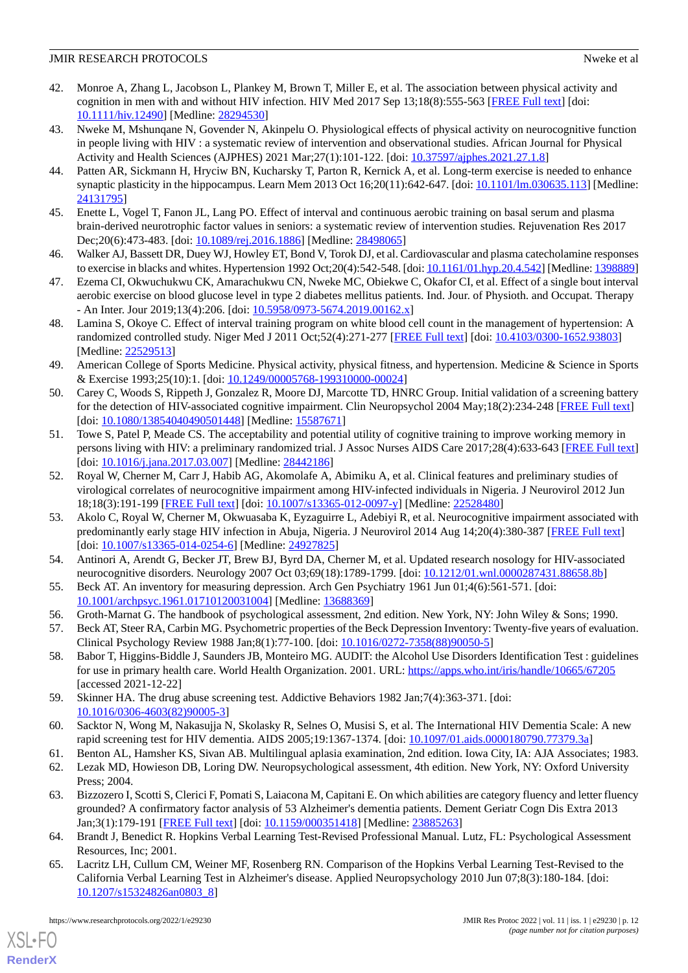- <span id="page-11-0"></span>42. Monroe A, Zhang L, Jacobson L, Plankey M, Brown T, Miller E, et al. The association between physical activity and cognition in men with and without HIV infection. HIV Med 2017 Sep 13;18(8):555-563 [\[FREE Full text\]](https://doi.org/10.1111/hiv.12490) [doi: [10.1111/hiv.12490](http://dx.doi.org/10.1111/hiv.12490)] [Medline: [28294530\]](http://www.ncbi.nlm.nih.gov/entrez/query.fcgi?cmd=Retrieve&db=PubMed&list_uids=28294530&dopt=Abstract)
- <span id="page-11-1"></span>43. Nweke M, Mshunqane N, Govender N, Akinpelu O. Physiological effects of physical activity on neurocognitive function in people living with HIV : a systematic review of intervention and observational studies. African Journal for Physical Activity and Health Sciences (AJPHES) 2021 Mar;27(1):101-122. [doi: [10.37597/ajphes.2021.27.1.8\]](http://dx.doi.org/10.37597/ajphes.2021.27.1.8)
- <span id="page-11-3"></span><span id="page-11-2"></span>44. Patten AR, Sickmann H, Hryciw BN, Kucharsky T, Parton R, Kernick A, et al. Long-term exercise is needed to enhance synaptic plasticity in the hippocampus. Learn Mem 2013 Oct 16;20(11):642-647. [doi: [10.1101/lm.030635.113\]](http://dx.doi.org/10.1101/lm.030635.113) [Medline: [24131795](http://www.ncbi.nlm.nih.gov/entrez/query.fcgi?cmd=Retrieve&db=PubMed&list_uids=24131795&dopt=Abstract)]
- <span id="page-11-4"></span>45. Enette L, Vogel T, Fanon JL, Lang PO. Effect of interval and continuous aerobic training on basal serum and plasma brain-derived neurotrophic factor values in seniors: a systematic review of intervention studies. Rejuvenation Res 2017 Dec;20(6):473-483. [doi: [10.1089/rej.2016.1886](http://dx.doi.org/10.1089/rej.2016.1886)] [Medline: [28498065](http://www.ncbi.nlm.nih.gov/entrez/query.fcgi?cmd=Retrieve&db=PubMed&list_uids=28498065&dopt=Abstract)]
- <span id="page-11-5"></span>46. Walker AJ, Bassett DR, Duey WJ, Howley ET, Bond V, Torok DJ, et al. Cardiovascular and plasma catecholamine responses to exercise in blacks and whites. Hypertension 1992 Oct;20(4):542-548. [doi: [10.1161/01.hyp.20.4.542\]](http://dx.doi.org/10.1161/01.hyp.20.4.542) [Medline: [1398889](http://www.ncbi.nlm.nih.gov/entrez/query.fcgi?cmd=Retrieve&db=PubMed&list_uids=1398889&dopt=Abstract)]
- <span id="page-11-6"></span>47. Ezema CI, Okwuchukwu CK, Amarachukwu CN, Nweke MC, Obiekwe C, Okafor CI, et al. Effect of a single bout interval aerobic exercise on blood glucose level in type 2 diabetes mellitus patients. Ind. Jour. of Physioth. and Occupat. Therapy - An Inter. Jour 2019;13(4):206. [doi: [10.5958/0973-5674.2019.00162.x\]](http://dx.doi.org/10.5958/0973-5674.2019.00162.x)
- <span id="page-11-7"></span>48. Lamina S, Okoye C. Effect of interval training program on white blood cell count in the management of hypertension: A randomized controlled study. Niger Med J 2011 Oct;52(4):271-277 [\[FREE Full text\]](http://www.nigeriamedj.com/article.asp?issn=0300-1652;year=2011;volume=52;issue=4;spage=271;epage=277;aulast=Lamina) [doi: [10.4103/0300-1652.93803\]](http://dx.doi.org/10.4103/0300-1652.93803) [Medline: [22529513](http://www.ncbi.nlm.nih.gov/entrez/query.fcgi?cmd=Retrieve&db=PubMed&list_uids=22529513&dopt=Abstract)]
- <span id="page-11-8"></span>49. American College of Sports Medicine. Physical activity, physical fitness, and hypertension. Medicine & Science in Sports & Exercise 1993;25(10):1. [doi: [10.1249/00005768-199310000-00024](http://dx.doi.org/10.1249/00005768-199310000-00024)]
- <span id="page-11-9"></span>50. Carey C, Woods S, Rippeth J, Gonzalez R, Moore DJ, Marcotte TD, HNRC Group. Initial validation of a screening battery for the detection of HIV-associated cognitive impairment. Clin Neuropsychol 2004 May;18(2):234-248 [\[FREE Full text\]](https://pubmed.ncbi.nlm.nih.gov/?term=Marcotte+TD&cauthor_id=15587671) [doi: [10.1080/13854040490501448](http://dx.doi.org/10.1080/13854040490501448)] [Medline: [15587671\]](http://www.ncbi.nlm.nih.gov/entrez/query.fcgi?cmd=Retrieve&db=PubMed&list_uids=15587671&dopt=Abstract)
- <span id="page-11-10"></span>51. Towe S, Patel P, Meade CS. The acceptability and potential utility of cognitive training to improve working memory in persons living with HIV: a preliminary randomized trial. J Assoc Nurses AIDS Care 2017;28(4):633-643 [\[FREE Full text](http://europepmc.org/abstract/MED/28442186)] [doi: [10.1016/j.jana.2017.03.007\]](http://dx.doi.org/10.1016/j.jana.2017.03.007) [Medline: [28442186](http://www.ncbi.nlm.nih.gov/entrez/query.fcgi?cmd=Retrieve&db=PubMed&list_uids=28442186&dopt=Abstract)]
- <span id="page-11-11"></span>52. Royal W, Cherner M, Carr J, Habib AG, Akomolafe A, Abimiku A, et al. Clinical features and preliminary studies of virological correlates of neurocognitive impairment among HIV-infected individuals in Nigeria. J Neurovirol 2012 Jun 18;18(3):191-199 [[FREE Full text](http://europepmc.org/abstract/MED/22528480)] [doi: [10.1007/s13365-012-0097-y\]](http://dx.doi.org/10.1007/s13365-012-0097-y) [Medline: [22528480](http://www.ncbi.nlm.nih.gov/entrez/query.fcgi?cmd=Retrieve&db=PubMed&list_uids=22528480&dopt=Abstract)]
- <span id="page-11-13"></span><span id="page-11-12"></span>53. Akolo C, Royal W, Cherner M, Okwuasaba K, Eyzaguirre L, Adebiyi R, et al. Neurocognitive impairment associated with predominantly early stage HIV infection in Abuja, Nigeria. J Neurovirol 2014 Aug 14;20(4):380-387 [[FREE Full text](http://europepmc.org/abstract/MED/24927825)] [doi: [10.1007/s13365-014-0254-6](http://dx.doi.org/10.1007/s13365-014-0254-6)] [Medline: [24927825\]](http://www.ncbi.nlm.nih.gov/entrez/query.fcgi?cmd=Retrieve&db=PubMed&list_uids=24927825&dopt=Abstract)
- <span id="page-11-15"></span><span id="page-11-14"></span>54. Antinori A, Arendt G, Becker JT, Brew BJ, Byrd DA, Cherner M, et al. Updated research nosology for HIV-associated neurocognitive disorders. Neurology 2007 Oct 03;69(18):1789-1799. [doi: [10.1212/01.wnl.0000287431.88658.8b](http://dx.doi.org/10.1212/01.wnl.0000287431.88658.8b)]
- <span id="page-11-16"></span>55. Beck AT. An inventory for measuring depression. Arch Gen Psychiatry 1961 Jun 01;4(6):561-571. [doi: [10.1001/archpsyc.1961.01710120031004](http://dx.doi.org/10.1001/archpsyc.1961.01710120031004)] [Medline: [13688369](http://www.ncbi.nlm.nih.gov/entrez/query.fcgi?cmd=Retrieve&db=PubMed&list_uids=13688369&dopt=Abstract)]
- 56. Groth-Marnat G. The handbook of psychological assessment, 2nd edition. New York, NY: John Wiley & Sons; 1990.
- <span id="page-11-17"></span>57. Beck AT, Steer RA, Carbin MG. Psychometric properties of the Beck Depression Inventory: Twenty-five years of evaluation. Clinical Psychology Review 1988 Jan;8(1):77-100. [doi: [10.1016/0272-7358\(88\)90050-5\]](http://dx.doi.org/10.1016/0272-7358(88)90050-5)
- <span id="page-11-18"></span>58. Babor T, Higgins-Biddle J, Saunders JB, Monteiro MG. AUDIT: the Alcohol Use Disorders Identification Test : guidelines for use in primary health care. World Health Organization. 2001. URL:<https://apps.who.int/iris/handle/10665/67205> [accessed 2021-12-22]
- <span id="page-11-20"></span><span id="page-11-19"></span>59. Skinner HA. The drug abuse screening test. Addictive Behaviors 1982 Jan;7(4):363-371. [doi: [10.1016/0306-4603\(82\)90005-3](http://dx.doi.org/10.1016/0306-4603(82)90005-3)]
- <span id="page-11-21"></span>60. Sacktor N, Wong M, Nakasujja N, Skolasky R, Selnes O, Musisi S, et al. The International HIV Dementia Scale: A new rapid screening test for HIV dementia. AIDS 2005;19:1367-1374. [doi: [10.1097/01.aids.0000180790.77379.3a\]](http://dx.doi.org/10.1097/01.aids.0000180790.77379.3a)
- <span id="page-11-22"></span>61. Benton AL, Hamsher KS, Sivan AB. Multilingual aplasia examination, 2nd edition. Iowa City, IA: AJA Associates; 1983.
- <span id="page-11-23"></span>62. Lezak MD, Howieson DB, Loring DW. Neuropsychological assessment, 4th edition. New York, NY: Oxford University Press; 2004.
- 63. Bizzozero I, Scotti S, Clerici F, Pomati S, Laiacona M, Capitani E. On which abilities are category fluency and letter fluency grounded? A confirmatory factor analysis of 53 Alzheimer's dementia patients. Dement Geriatr Cogn Dis Extra 2013 Jan;3(1):179-191 [\[FREE Full text\]](https://www.karger.com?DOI=10.1159/000351418) [doi: [10.1159/000351418](http://dx.doi.org/10.1159/000351418)] [Medline: [23885263\]](http://www.ncbi.nlm.nih.gov/entrez/query.fcgi?cmd=Retrieve&db=PubMed&list_uids=23885263&dopt=Abstract)
- 64. Brandt J, Benedict R. Hopkins Verbal Learning Test-Revised Professional Manual. Lutz, FL: Psychological Assessment Resources, Inc; 2001.
- 65. Lacritz LH, Cullum CM, Weiner MF, Rosenberg RN. Comparison of the Hopkins Verbal Learning Test-Revised to the California Verbal Learning Test in Alzheimer's disease. Applied Neuropsychology 2010 Jun 07;8(3):180-184. [doi: [10.1207/s15324826an0803\\_8](http://dx.doi.org/10.1207/s15324826an0803_8)]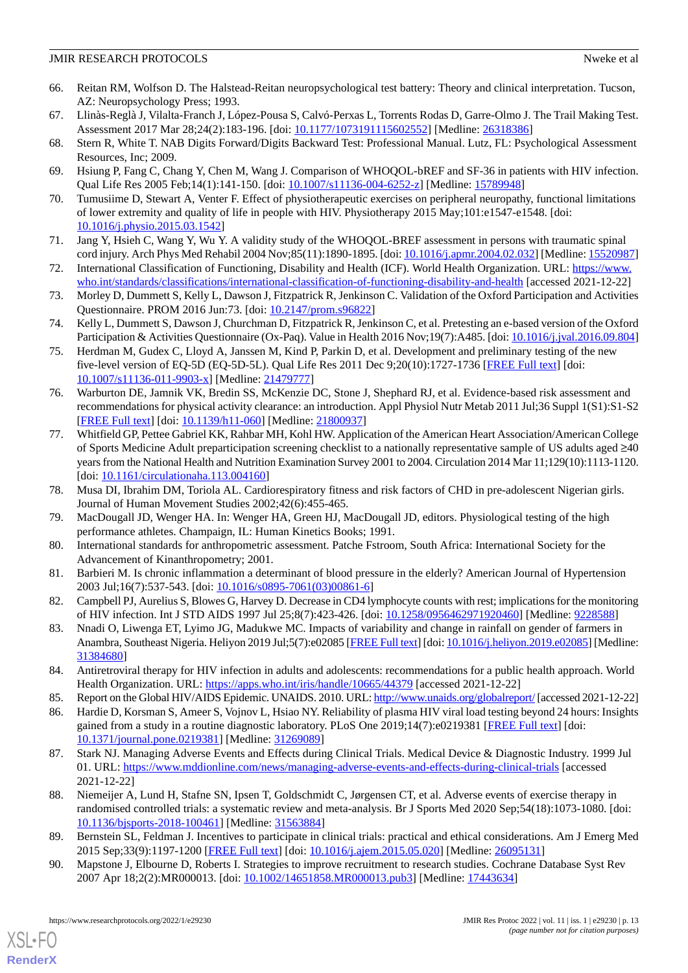- <span id="page-12-0"></span>66. Reitan RM, Wolfson D. The Halstead-Reitan neuropsychological test battery: Theory and clinical interpretation. Tucson, AZ: Neuropsychology Press; 1993.
- <span id="page-12-2"></span><span id="page-12-1"></span>67. Llinàs-Reglà J, Vilalta-Franch J, López-Pousa S, Calvó-Perxas L, Torrents Rodas D, Garre-Olmo J. The Trail Making Test. Assessment 2017 Mar 28;24(2):183-196. [doi: [10.1177/1073191115602552](http://dx.doi.org/10.1177/1073191115602552)] [Medline: [26318386\]](http://www.ncbi.nlm.nih.gov/entrez/query.fcgi?cmd=Retrieve&db=PubMed&list_uids=26318386&dopt=Abstract)
- <span id="page-12-3"></span>68. Stern R, White T. NAB Digits Forward/Digits Backward Test: Professional Manual. Lutz, FL: Psychological Assessment Resources, Inc; 2009.
- <span id="page-12-4"></span>69. Hsiung P, Fang C, Chang Y, Chen M, Wang J. Comparison of WHOQOL-bREF and SF-36 in patients with HIV infection. Qual Life Res 2005 Feb;14(1):141-150. [doi: [10.1007/s11136-004-6252-z](http://dx.doi.org/10.1007/s11136-004-6252-z)] [Medline: [15789948\]](http://www.ncbi.nlm.nih.gov/entrez/query.fcgi?cmd=Retrieve&db=PubMed&list_uids=15789948&dopt=Abstract)
- <span id="page-12-5"></span>70. Tumusiime D, Stewart A, Venter F. Effect of physiotherapeutic exercises on peripheral neuropathy, functional limitations of lower extremity and quality of life in people with HIV. Physiotherapy 2015 May;101:e1547-e1548. [doi: [10.1016/j.physio.2015.03.1542](http://dx.doi.org/10.1016/j.physio.2015.03.1542)]
- <span id="page-12-6"></span>71. Jang Y, Hsieh C, Wang Y, Wu Y. A validity study of the WHOQOL-BREF assessment in persons with traumatic spinal cord injury. Arch Phys Med Rehabil 2004 Nov;85(11):1890-1895. [doi: [10.1016/j.apmr.2004.02.032\]](http://dx.doi.org/10.1016/j.apmr.2004.02.032) [Medline: [15520987](http://www.ncbi.nlm.nih.gov/entrez/query.fcgi?cmd=Retrieve&db=PubMed&list_uids=15520987&dopt=Abstract)]
- <span id="page-12-7"></span>72. International Classification of Functioning, Disability and Health (ICF). World Health Organization. URL: [https://www.](https://www.who.int/standards/classifications/international-classification-of-functioning-disability-and-health) [who.int/standards/classifications/international-classification-of-functioning-disability-and-health](https://www.who.int/standards/classifications/international-classification-of-functioning-disability-and-health) [accessed 2021-12-22]
- <span id="page-12-8"></span>73. Morley D, Dummett S, Kelly L, Dawson J, Fitzpatrick R, Jenkinson C. Validation of the Oxford Participation and Activities Questionnaire. PROM 2016 Jun:73. [doi: [10.2147/prom.s96822](http://dx.doi.org/10.2147/prom.s96822)]
- <span id="page-12-9"></span>74. Kelly L, Dummett S, Dawson J, Churchman D, Fitzpatrick R, Jenkinson C, et al. Pretesting an e-based version of the Oxford Participation & Activities Questionnaire (Ox-Paq). Value in Health 2016 Nov;19(7):A485. [doi: [10.1016/j.jval.2016.09.804\]](http://dx.doi.org/10.1016/j.jval.2016.09.804)
- <span id="page-12-10"></span>75. Herdman M, Gudex C, Lloyd A, Janssen M, Kind P, Parkin D, et al. Development and preliminary testing of the new five-level version of EQ-5D (EQ-5D-5L). Qual Life Res 2011 Dec 9;20(10):1727-1736 [\[FREE Full text\]](http://europepmc.org/abstract/MED/21479777) [doi: [10.1007/s11136-011-9903-x\]](http://dx.doi.org/10.1007/s11136-011-9903-x) [Medline: [21479777](http://www.ncbi.nlm.nih.gov/entrez/query.fcgi?cmd=Retrieve&db=PubMed&list_uids=21479777&dopt=Abstract)]
- <span id="page-12-11"></span>76. Warburton DE, Jamnik VK, Bredin SS, McKenzie DC, Stone J, Shephard RJ, et al. Evidence-based risk assessment and recommendations for physical activity clearance: an introduction. Appl Physiol Nutr Metab 2011 Jul;36 Suppl 1(S1):S1-S2 [[FREE Full text](https://cdnsciencepub.com/doi/abs/10.1139/h11-060?url_ver=Z39.88-2003&rfr_id=ori:rid:crossref.org&rfr_dat=cr_pub%3dpubmed)] [doi: [10.1139/h11-060](http://dx.doi.org/10.1139/h11-060)] [Medline: [21800937\]](http://www.ncbi.nlm.nih.gov/entrez/query.fcgi?cmd=Retrieve&db=PubMed&list_uids=21800937&dopt=Abstract)
- <span id="page-12-12"></span>77. Whitfield GP, Pettee Gabriel KK, Rahbar MH, Kohl HW. Application of the American Heart Association/American College of Sports Medicine Adult preparticipation screening checklist to a nationally representative sample of US adults aged ≥40 years from the National Health and Nutrition Examination Survey 2001 to 2004. Circulation 2014 Mar 11;129(10):1113-1120. [doi: [10.1161/circulationaha.113.004160\]](http://dx.doi.org/10.1161/circulationaha.113.004160)
- <span id="page-12-14"></span><span id="page-12-13"></span>78. Musa DI, Ibrahim DM, Toriola AL. Cardiorespiratory fitness and risk factors of CHD in pre-adolescent Nigerian girls. Journal of Human Movement Studies 2002;42(6):455-465.
- <span id="page-12-15"></span>79. MacDougall JD, Wenger HA. In: Wenger HA, Green HJ, MacDougall JD, editors. Physiological testing of the high performance athletes. Champaign, IL: Human Kinetics Books; 1991.
- <span id="page-12-16"></span>80. International standards for anthropometric assessment. Patche Fstroom, South Africa: International Society for the Advancement of Kinanthropometry; 2001.
- <span id="page-12-17"></span>81. Barbieri M. Is chronic inflammation a determinant of blood pressure in the elderly? American Journal of Hypertension 2003 Jul;16(7):537-543. [doi: [10.1016/s0895-7061\(03\)00861-6](http://dx.doi.org/10.1016/s0895-7061(03)00861-6)]
- <span id="page-12-18"></span>82. Campbell PJ, Aurelius S, Blowes G, Harvey D. Decrease in CD4 lymphocyte counts with rest; implications for the monitoring of HIV infection. Int J STD AIDS 1997 Jul 25;8(7):423-426. [doi: [10.1258/0956462971920460](http://dx.doi.org/10.1258/0956462971920460)] [Medline: [9228588](http://www.ncbi.nlm.nih.gov/entrez/query.fcgi?cmd=Retrieve&db=PubMed&list_uids=9228588&dopt=Abstract)]
- <span id="page-12-19"></span>83. Nnadi O, Liwenga ET, Lyimo JG, Madukwe MC. Impacts of variability and change in rainfall on gender of farmers in Anambra, Southeast Nigeria. Heliyon 2019 Jul;5(7):e02085 [\[FREE Full text](https://linkinghub.elsevier.com/retrieve/pii/S2405-8440(19)35745-7)] [doi: [10.1016/j.heliyon.2019.e02085](http://dx.doi.org/10.1016/j.heliyon.2019.e02085)] [Medline: [31384680](http://www.ncbi.nlm.nih.gov/entrez/query.fcgi?cmd=Retrieve&db=PubMed&list_uids=31384680&dopt=Abstract)]
- <span id="page-12-20"></span>84. Antiretroviral therapy for HIV infection in adults and adolescents: recommendations for a public health approach. World Health Organization. URL: <https://apps.who.int/iris/handle/10665/44379> [accessed 2021-12-22]
- 85. Report on the Global HIV/AIDS Epidemic. UNAIDS. 2010. URL:<http://www.unaids.org/globalreport/> [accessed 2021-12-22]
- <span id="page-12-21"></span>86. Hardie D, Korsman S, Ameer S, Vojnov L, Hsiao NY. Reliability of plasma HIV viral load testing beyond 24 hours: Insights gained from a study in a routine diagnostic laboratory. PLoS One 2019;14(7):e0219381 [\[FREE Full text\]](https://dx.plos.org/10.1371/journal.pone.0219381) [doi: [10.1371/journal.pone.0219381\]](http://dx.doi.org/10.1371/journal.pone.0219381) [Medline: [31269089](http://www.ncbi.nlm.nih.gov/entrez/query.fcgi?cmd=Retrieve&db=PubMed&list_uids=31269089&dopt=Abstract)]
- <span id="page-12-22"></span>87. Stark NJ. Managing Adverse Events and Effects during Clinical Trials. Medical Device & Diagnostic Industry. 1999 Jul 01. URL: <https://www.mddionline.com/news/managing-adverse-events-and-effects-during-clinical-trials> [accessed 2021-12-22]
- <span id="page-12-23"></span>88. Niemeijer A, Lund H, Stafne SN, Ipsen T, Goldschmidt C, Jørgensen CT, et al. Adverse events of exercise therapy in randomised controlled trials: a systematic review and meta-analysis. Br J Sports Med 2020 Sep;54(18):1073-1080. [doi: [10.1136/bjsports-2018-100461](http://dx.doi.org/10.1136/bjsports-2018-100461)] [Medline: [31563884\]](http://www.ncbi.nlm.nih.gov/entrez/query.fcgi?cmd=Retrieve&db=PubMed&list_uids=31563884&dopt=Abstract)
- 89. Bernstein SL, Feldman J. Incentives to participate in clinical trials: practical and ethical considerations. Am J Emerg Med 2015 Sep;33(9):1197-1200 [\[FREE Full text\]](http://europepmc.org/abstract/MED/26095131) [doi: [10.1016/j.ajem.2015.05.020](http://dx.doi.org/10.1016/j.ajem.2015.05.020)] [Medline: [26095131](http://www.ncbi.nlm.nih.gov/entrez/query.fcgi?cmd=Retrieve&db=PubMed&list_uids=26095131&dopt=Abstract)]
- 90. Mapstone J, Elbourne D, Roberts I. Strategies to improve recruitment to research studies. Cochrane Database Syst Rev 2007 Apr 18;2(2):MR000013. [doi: [10.1002/14651858.MR000013.pub3](http://dx.doi.org/10.1002/14651858.MR000013.pub3)] [Medline: [17443634\]](http://www.ncbi.nlm.nih.gov/entrez/query.fcgi?cmd=Retrieve&db=PubMed&list_uids=17443634&dopt=Abstract)